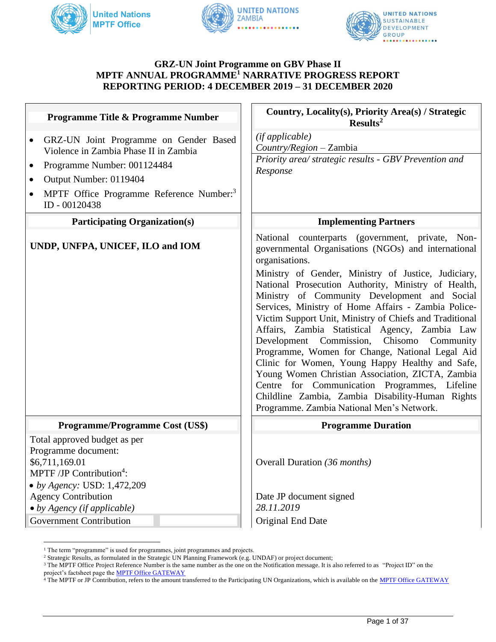





#### **GRZ-UN Joint Programme on GBV Phase II MPTF ANNUAL PROGRAMME<sup>1</sup> NARRATIVE PROGRESS REPORT REPORTING PERIOD: 4 DECEMBER 2019 – 31 DECEMBER 2020**

| Programme Title & Programme Number                                                                                                                                                                                                                     | Country, Locality(s), Priority Area(s) / Strategic<br>Results <sup>2</sup>                                                                                                                                                                                                                                                                                                                                                                                                                                                                                                                                                                                                                                                                                                                                           |
|--------------------------------------------------------------------------------------------------------------------------------------------------------------------------------------------------------------------------------------------------------|----------------------------------------------------------------------------------------------------------------------------------------------------------------------------------------------------------------------------------------------------------------------------------------------------------------------------------------------------------------------------------------------------------------------------------------------------------------------------------------------------------------------------------------------------------------------------------------------------------------------------------------------------------------------------------------------------------------------------------------------------------------------------------------------------------------------|
| GRZ-UN Joint Programme on Gender Based<br>$\bullet$<br>Violence in Zambia Phase II in Zambia<br>Programme Number: 001124484<br>$\bullet$<br>Output Number: 0119404<br>$\bullet$<br>MPTF Office Programme Reference Number: <sup>3</sup><br>ID-00120438 | (if applicable)<br>Country/Region - Zambia<br>Priority area/ strategic results - GBV Prevention and<br>Response                                                                                                                                                                                                                                                                                                                                                                                                                                                                                                                                                                                                                                                                                                      |
| <b>Participating Organization(s)</b>                                                                                                                                                                                                                   | <b>Implementing Partners</b>                                                                                                                                                                                                                                                                                                                                                                                                                                                                                                                                                                                                                                                                                                                                                                                         |
| UNDP, UNFPA, UNICEF, ILO and IOM                                                                                                                                                                                                                       | National counterparts (government, private, Non-<br>governmental Organisations (NGOs) and international<br>organisations.<br>Ministry of Gender, Ministry of Justice, Judiciary,<br>National Prosecution Authority, Ministry of Health,<br>Ministry of Community Development and Social<br>Services, Ministry of Home Affairs - Zambia Police-<br>Victim Support Unit, Ministry of Chiefs and Traditional<br>Affairs, Zambia Statistical Agency, Zambia Law<br>Development Commission, Chisomo Community<br>Programme, Women for Change, National Legal Aid<br>Clinic for Women, Young Happy Healthy and Safe,<br>Young Women Christian Association, ZICTA, Zambia<br>Centre for Communication Programmes, Lifeline<br>Childline Zambia, Zambia Disability-Human Rights<br>Programme. Zambia National Men's Network. |
| <b>Programme/Programme Cost (US\$)</b>                                                                                                                                                                                                                 | <b>Programme Duration</b>                                                                                                                                                                                                                                                                                                                                                                                                                                                                                                                                                                                                                                                                                                                                                                                            |
| Total approved budget as per<br>Programme document:<br>\$6,711,169.01<br>MPTF /JP Contribution <sup>4</sup> :<br>• by Agency: USD: 1,472,209                                                                                                           | Overall Duration (36 months)                                                                                                                                                                                                                                                                                                                                                                                                                                                                                                                                                                                                                                                                                                                                                                                         |
| <b>Agency Contribution</b>                                                                                                                                                                                                                             | Date JP document signed                                                                                                                                                                                                                                                                                                                                                                                                                                                                                                                                                                                                                                                                                                                                                                                              |
| $\bullet$ by Agency (if applicable)                                                                                                                                                                                                                    | 28.11.2019                                                                                                                                                                                                                                                                                                                                                                                                                                                                                                                                                                                                                                                                                                                                                                                                           |
| <b>Government Contribution</b>                                                                                                                                                                                                                         | Original End Date                                                                                                                                                                                                                                                                                                                                                                                                                                                                                                                                                                                                                                                                                                                                                                                                    |

 $^{\rm 1}$  The term "programme" is used for programmes, joint programmes and projects.

<sup>&</sup>lt;sup>2</sup> Strategic Results, as formulated in the Strategic UN Planning Framework (e.g. UNDAF) or project document;

<sup>&</sup>lt;sup>3</sup> The MPTF Office Project Reference Number is the same number as the one on the Notification message. It is also referred to as "Project ID" on the project's factsheet page the **MPTF Office GATEWAY** 

 $4$  The MPTF or JP Contribution, refers to the amount transferred to the Participating UN Organizations, which is available on th[e MPTF Office GATEWAY](http://mdtf.undp.org/)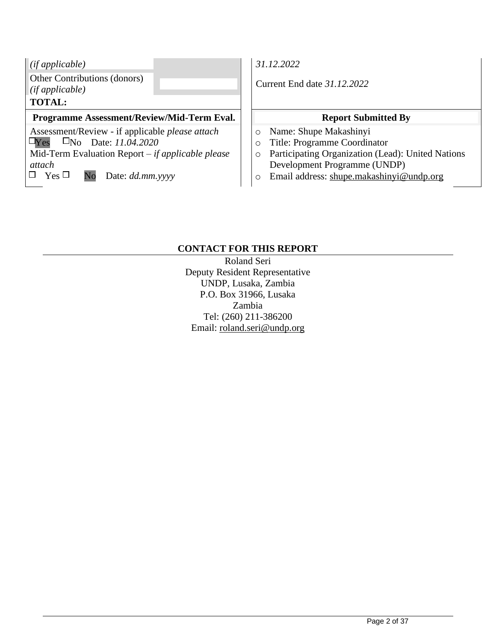| $\int$ (if applicable)                                     |  |
|------------------------------------------------------------|--|
| Other Contributions (donors)                               |  |
| $\left $ (if applicable)                                   |  |
| <b>TOTAL:</b>                                              |  |
| <b>Programme Assessment/Review/Mid-Term Eval</b>           |  |
| Assessment/Review - if applicable <i>please</i> attach     |  |
| $\Box$ No Date: 11.04.2020<br>$\Box$ Yes                   |  |
| Mid-Term Evaluation Report $-i f$ <i>applicable please</i> |  |
| attach                                                     |  |

 $\Box$  Yes  $\Box$  No Date: *dd.mm.yyyy* 

*(if applicable) 31.12.2022*

*(if applicable)* Current End date *31.12.2022*

# **Programme Assessment Report Submitted By**

- o Name: Shupe Makashinyi
- o Title: Programme Coordinator
- o Participating Organization (Lead): United Nations Development Programme (UNDP)
- o Email address: [shupe.makashinyi@undp.org](mailto:shupe.makashinyi@undp.org)

## **CONTACT FOR THIS REPORT**

Roland Seri Deputy Resident Representative UNDP, Lusaka, Zambia P.O. Box 31966, Lusaka Zambia Tel: (260) 211-386200 Email: roland.seri@undp.org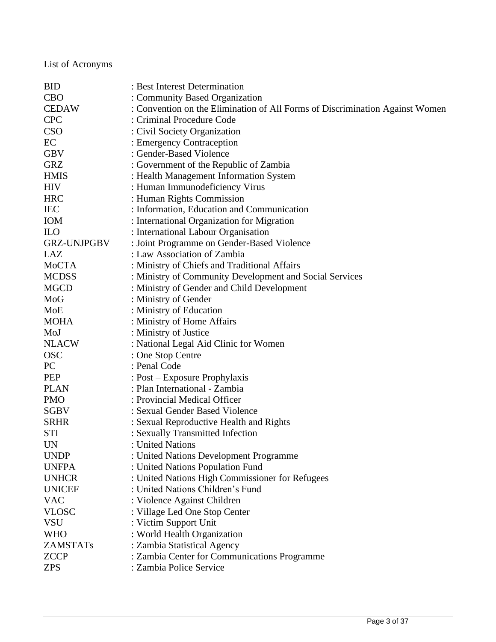List of Acronyms

| <b>CBO</b><br>: Community Based Organization<br><b>CEDAW</b><br>: Convention on the Elimination of All Forms of Discrimination Against Women<br><b>CPC</b><br>: Criminal Procedure Code<br><b>CSO</b><br>: Civil Society Organization<br>EC<br>: Emergency Contraception<br>: Gender-Based Violence<br><b>GBV</b><br><b>GRZ</b><br>: Government of the Republic of Zambia<br><b>HMIS</b><br>: Health Management Information System<br><b>HIV</b><br>: Human Immunodeficiency Virus<br><b>HRC</b><br>: Human Rights Commission<br>: Information, Education and Communication<br><b>IEC</b> |
|-------------------------------------------------------------------------------------------------------------------------------------------------------------------------------------------------------------------------------------------------------------------------------------------------------------------------------------------------------------------------------------------------------------------------------------------------------------------------------------------------------------------------------------------------------------------------------------------|
|                                                                                                                                                                                                                                                                                                                                                                                                                                                                                                                                                                                           |
|                                                                                                                                                                                                                                                                                                                                                                                                                                                                                                                                                                                           |
|                                                                                                                                                                                                                                                                                                                                                                                                                                                                                                                                                                                           |
|                                                                                                                                                                                                                                                                                                                                                                                                                                                                                                                                                                                           |
|                                                                                                                                                                                                                                                                                                                                                                                                                                                                                                                                                                                           |
|                                                                                                                                                                                                                                                                                                                                                                                                                                                                                                                                                                                           |
|                                                                                                                                                                                                                                                                                                                                                                                                                                                                                                                                                                                           |
|                                                                                                                                                                                                                                                                                                                                                                                                                                                                                                                                                                                           |
|                                                                                                                                                                                                                                                                                                                                                                                                                                                                                                                                                                                           |
|                                                                                                                                                                                                                                                                                                                                                                                                                                                                                                                                                                                           |
|                                                                                                                                                                                                                                                                                                                                                                                                                                                                                                                                                                                           |
| : International Organization for Migration<br><b>IOM</b>                                                                                                                                                                                                                                                                                                                                                                                                                                                                                                                                  |
| <b>ILO</b><br>: International Labour Organisation                                                                                                                                                                                                                                                                                                                                                                                                                                                                                                                                         |
| : Joint Programme on Gender-Based Violence<br><b>GRZ-UNJPGBV</b>                                                                                                                                                                                                                                                                                                                                                                                                                                                                                                                          |
| LAZ<br>: Law Association of Zambia                                                                                                                                                                                                                                                                                                                                                                                                                                                                                                                                                        |
| MoCTA<br>: Ministry of Chiefs and Traditional Affairs                                                                                                                                                                                                                                                                                                                                                                                                                                                                                                                                     |
| <b>MCDSS</b><br>: Ministry of Community Development and Social Services                                                                                                                                                                                                                                                                                                                                                                                                                                                                                                                   |
| : Ministry of Gender and Child Development<br><b>MGCD</b>                                                                                                                                                                                                                                                                                                                                                                                                                                                                                                                                 |
| MoG<br>: Ministry of Gender                                                                                                                                                                                                                                                                                                                                                                                                                                                                                                                                                               |
| : Ministry of Education<br>MoE                                                                                                                                                                                                                                                                                                                                                                                                                                                                                                                                                            |
| <b>MOHA</b><br>: Ministry of Home Affairs                                                                                                                                                                                                                                                                                                                                                                                                                                                                                                                                                 |
| : Ministry of Justice<br>MoJ                                                                                                                                                                                                                                                                                                                                                                                                                                                                                                                                                              |
| <b>NLACW</b><br>: National Legal Aid Clinic for Women                                                                                                                                                                                                                                                                                                                                                                                                                                                                                                                                     |
| <b>OSC</b><br>: One Stop Centre                                                                                                                                                                                                                                                                                                                                                                                                                                                                                                                                                           |
| PC<br>: Penal Code                                                                                                                                                                                                                                                                                                                                                                                                                                                                                                                                                                        |
| <b>PEP</b><br>: Post – Exposure Prophylaxis                                                                                                                                                                                                                                                                                                                                                                                                                                                                                                                                               |
| : Plan International - Zambia<br><b>PLAN</b>                                                                                                                                                                                                                                                                                                                                                                                                                                                                                                                                              |
| : Provincial Medical Officer<br><b>PMO</b>                                                                                                                                                                                                                                                                                                                                                                                                                                                                                                                                                |
| <b>SGBV</b><br>: Sexual Gender Based Violence                                                                                                                                                                                                                                                                                                                                                                                                                                                                                                                                             |
| <b>SRHR</b><br>: Sexual Reproductive Health and Rights                                                                                                                                                                                                                                                                                                                                                                                                                                                                                                                                    |
| <b>STI</b><br>: Sexually Transmitted Infection                                                                                                                                                                                                                                                                                                                                                                                                                                                                                                                                            |
| <b>UN</b><br>: United Nations                                                                                                                                                                                                                                                                                                                                                                                                                                                                                                                                                             |
| : United Nations Development Programme<br><b>UNDP</b>                                                                                                                                                                                                                                                                                                                                                                                                                                                                                                                                     |
| <b>UNFPA</b><br>: United Nations Population Fund                                                                                                                                                                                                                                                                                                                                                                                                                                                                                                                                          |
| <b>UNHCR</b><br>: United Nations High Commissioner for Refugees                                                                                                                                                                                                                                                                                                                                                                                                                                                                                                                           |
| : United Nations Children's Fund<br><b>UNICEF</b>                                                                                                                                                                                                                                                                                                                                                                                                                                                                                                                                         |
| <b>VAC</b><br>: Violence Against Children                                                                                                                                                                                                                                                                                                                                                                                                                                                                                                                                                 |
| <b>VLOSC</b><br>: Village Led One Stop Center                                                                                                                                                                                                                                                                                                                                                                                                                                                                                                                                             |
| <b>VSU</b><br>: Victim Support Unit                                                                                                                                                                                                                                                                                                                                                                                                                                                                                                                                                       |
| <b>WHO</b><br>: World Health Organization                                                                                                                                                                                                                                                                                                                                                                                                                                                                                                                                                 |
| <b>ZAMSTATs</b><br>: Zambia Statistical Agency                                                                                                                                                                                                                                                                                                                                                                                                                                                                                                                                            |
| : Zambia Center for Communications Programme<br><b>ZCCP</b>                                                                                                                                                                                                                                                                                                                                                                                                                                                                                                                               |
| : Zambia Police Service<br><b>ZPS</b>                                                                                                                                                                                                                                                                                                                                                                                                                                                                                                                                                     |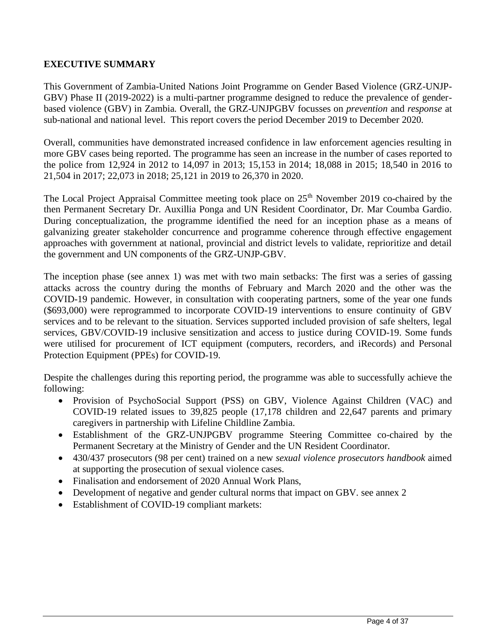## **EXECUTIVE SUMMARY**

This Government of Zambia-United Nations Joint Programme on Gender Based Violence (GRZ-UNJP-GBV) Phase II (2019-2022) is a multi-partner programme designed to reduce the prevalence of genderbased violence (GBV) in Zambia. Overall, the GRZ-UNJPGBV focusses on *prevention* and *response* at sub-national and national level. This report covers the period December 2019 to December 2020.

Overall, communities have demonstrated increased confidence in law enforcement agencies resulting in more GBV cases being reported. The programme has seen an increase in the number of cases reported to the police from 12,924 in 2012 to 14,097 in 2013; 15,153 in 2014; 18,088 in 2015; 18,540 in 2016 to 21,504 in 2017; 22,073 in 2018; 25,121 in 2019 to 26,370 in 2020.

The Local Project Appraisal Committee meeting took place on  $25<sup>th</sup>$  November 2019 co-chaired by the then Permanent Secretary Dr. Auxillia Ponga and UN Resident Coordinator, Dr. Mar Coumba Gardio. During conceptualization, the programme identified the need for an inception phase as a means of galvanizing greater stakeholder concurrence and programme coherence through effective engagement approaches with government at national, provincial and district levels to validate, reprioritize and detail the government and UN components of the GRZ-UNJP-GBV.

The inception phase (see annex 1) was met with two main setbacks: The first was a series of gassing attacks across the country during the months of February and March 2020 and the other was the COVID-19 pandemic. However, in consultation with cooperating partners, some of the year one funds (\$693,000) were reprogrammed to incorporate COVID-19 interventions to ensure continuity of GBV services and to be relevant to the situation. Services supported included provision of safe shelters, legal services, GBV/COVID-19 inclusive sensitization and access to justice during COVID-19. Some funds were utilised for procurement of ICT equipment (computers, recorders, and iRecords) and Personal Protection Equipment (PPEs) for COVID-19.

Despite the challenges during this reporting period, the programme was able to successfully achieve the following:

- Provision of PsychoSocial Support (PSS) on GBV, Violence Against Children (VAC) and COVID-19 related issues to 39,825 people (17,178 children and 22,647 parents and primary caregivers in partnership with Lifeline Childline Zambia.
- Establishment of the GRZ-UNJPGBV programme Steering Committee co-chaired by the Permanent Secretary at the Ministry of Gender and the UN Resident Coordinator.
- 430/437 prosecutors (98 per cent) trained on a new *sexual violence prosecutors handbook* aimed at supporting the prosecution of sexual violence cases.
- Finalisation and endorsement of 2020 Annual Work Plans,
- Development of negative and gender cultural norms that impact on GBV. see annex 2
- Establishment of COVID-19 compliant markets: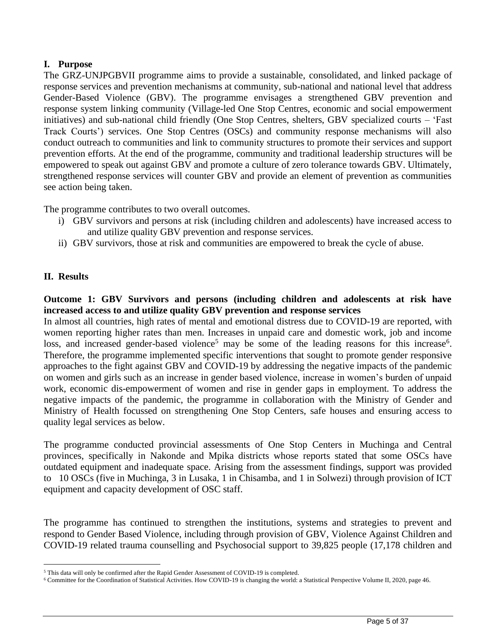## **I. Purpose**

The GRZ-UNJPGBVII programme aims to provide a sustainable, consolidated, and linked package of response services and prevention mechanisms at community, sub-national and national level that address Gender-Based Violence (GBV). The programme envisages a strengthened GBV prevention and response system linking community (Village-led One Stop Centres, economic and social empowerment initiatives) and sub-national child friendly (One Stop Centres, shelters, GBV specialized courts – 'Fast Track Courts') services. One Stop Centres (OSCs) and community response mechanisms will also conduct outreach to communities and link to community structures to promote their services and support prevention efforts. At the end of the programme, community and traditional leadership structures will be empowered to speak out against GBV and promote a culture of zero tolerance towards GBV. Ultimately, strengthened response services will counter GBV and provide an element of prevention as communities see action being taken.

The programme contributes to two overall outcomes.

- i) GBV survivors and persons at risk (including children and adolescents) have increased access to and utilize quality GBV prevention and response services.
- ii) GBV survivors, those at risk and communities are empowered to break the cycle of abuse.

## **II. Results**

## **Outcome 1: GBV Survivors and persons (including children and adolescents at risk have increased access to and utilize quality GBV prevention and response services**

In almost all countries, high rates of mental and emotional distress due to COVID-19 are reported, with women reporting higher rates than men. Increases in unpaid care and domestic work, job and income loss, and increased gender-based violence<sup>5</sup> may be some of the leading reasons for this increase<sup>6</sup>. Therefore, the programme implemented specific interventions that sought to promote gender responsive approaches to the fight against GBV and COVID-19 by addressing the negative impacts of the pandemic on women and girls such as an increase in gender based violence, increase in women's burden of unpaid work, economic dis-empowerment of women and rise in gender gaps in employment. To address the negative impacts of the pandemic, the programme in collaboration with the Ministry of Gender and Ministry of Health focussed on strengthening One Stop Centers, safe houses and ensuring access to quality legal services as below.

The programme conducted provincial assessments of One Stop Centers in Muchinga and Central provinces, specifically in Nakonde and Mpika districts whose reports stated that some OSCs have outdated equipment and inadequate space. Arising from the assessment findings, support was provided to 10 OSCs (five in Muchinga, 3 in Lusaka, 1 in Chisamba, and 1 in Solwezi) through provision of ICT equipment and capacity development of OSC staff.

The programme has continued to strengthen the institutions, systems and strategies to prevent and respond to Gender Based Violence, including through provision of GBV, Violence Against Children and COVID-19 related trauma counselling and Psychosocial support to 39,825 people (17,178 children and

<sup>5</sup> This data will only be confirmed after the Rapid Gender Assessment of COVID-19 is completed.

<sup>6</sup> Committee for the Coordination of Statistical Activities. How COVID-19 is changing the world: a Statistical Perspective Volume II, 2020, page 46.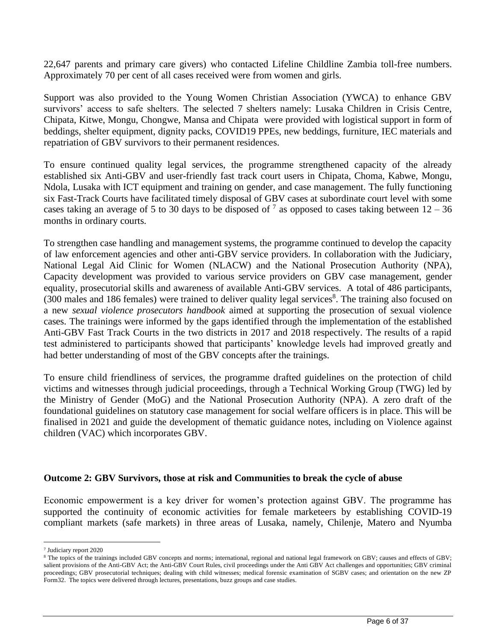22,647 parents and primary care givers) who contacted Lifeline Childline Zambia toll-free numbers. Approximately 70 per cent of all cases received were from women and girls.

Support was also provided to the Young Women Christian Association (YWCA) to enhance GBV survivors' access to safe shelters. The selected 7 shelters namely: Lusaka Children in Crisis Centre, Chipata, Kitwe, Mongu, Chongwe, Mansa and Chipata were provided with logistical support in form of beddings, shelter equipment, dignity packs, COVID19 PPEs, new beddings, furniture, IEC materials and repatriation of GBV survivors to their permanent residences.

To ensure continued quality legal services, the programme strengthened capacity of the already established six Anti-GBV and user-friendly fast track court users in Chipata, Choma, Kabwe, Mongu, Ndola, Lusaka with ICT equipment and training on gender, and case management. The fully functioning six Fast-Track Courts have facilitated timely disposal of GBV cases at subordinate court level with some cases taking an average of 5 to 30 days to be disposed of  $^7$  as opposed to cases taking between  $12 - 36$ months in ordinary courts.

To strengthen case handling and management systems, the programme continued to develop the capacity of law enforcement agencies and other anti-GBV service providers. In collaboration with the Judiciary, National Legal Aid Clinic for Women (NLACW) and the National Prosecution Authority (NPA), Capacity development was provided to various service providers on GBV case management, gender equality, prosecutorial skills and awareness of available Anti-GBV services. A total of 486 participants, (300 males and 186 females) were trained to deliver quality legal services<sup>8</sup>. The training also focused on a new *sexual violence prosecutors handbook* aimed at supporting the prosecution of sexual violence cases. The trainings were informed by the gaps identified through the implementation of the established Anti-GBV Fast Track Courts in the two districts in 2017 and 2018 respectively. The results of a rapid test administered to participants showed that participants' knowledge levels had improved greatly and had better understanding of most of the GBV concepts after the trainings.

To ensure child friendliness of services, the programme drafted guidelines on the protection of child victims and witnesses through judicial proceedings, through a Technical Working Group (TWG) led by the Ministry of Gender (MoG) and the National Prosecution Authority (NPA). A zero draft of the foundational guidelines on statutory case management for social welfare officers is in place. This will be finalised in 2021 and guide the development of thematic guidance notes, including on Violence against children (VAC) which incorporates GBV.

#### **Outcome 2: GBV Survivors, those at risk and Communities to break the cycle of abuse**

Economic empowerment is a key driver for women's protection against GBV. The programme has supported the continuity of economic activities for female marketeers by establishing COVID-19 compliant markets (safe markets) in three areas of Lusaka, namely, Chilenje, Matero and Nyumba

<sup>7</sup> Judiciary report 2020

<sup>&</sup>lt;sup>8</sup> The topics of the trainings included GBV concepts and norms; international, regional and national legal framework on GBV; causes and effects of GBV; salient provisions of the Anti-GBV Act; the Anti-GBV Court Rules, civil proceedings under the Anti GBV Act challenges and opportunities; GBV criminal proceedings; GBV prosecutorial techniques; dealing with child witnesses; medical forensic examination of SGBV cases; and orientation on the new ZP Form32. The topics were delivered through lectures, presentations, buzz groups and case studies.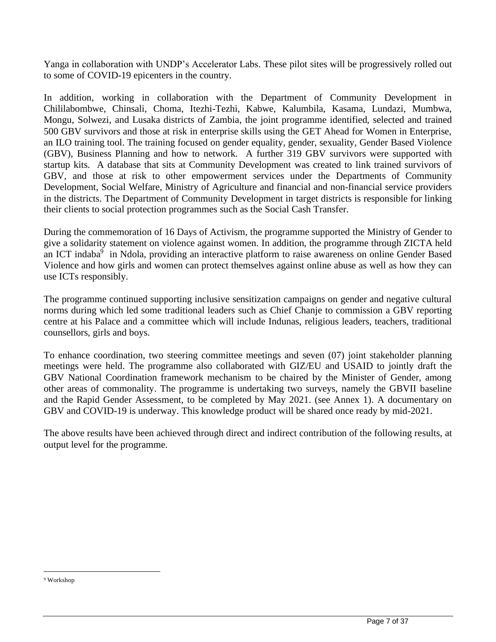Yanga in collaboration with UNDP's Accelerator Labs. These pilot sites will be progressively rolled out to some of COVID-19 epicenters in the country.

In addition, working in collaboration with the Department of Community Development in Chililabombwe, Chinsali, Choma, Itezhi-Tezhi, Kabwe, Kalumbila, Kasama, Lundazi, Mumbwa, Mongu, Solwezi, and Lusaka districts of Zambia, the joint programme identified, selected and trained 500 GBV survivors and those at risk in enterprise skills using the GET Ahead for Women in Enterprise, an ILO training tool. The training focused on gender equality, gender, sexuality, Gender Based Violence (GBV), Business Planning and how to network. A further 319 GBV survivors were supported with startup kits. A database that sits at Community Development was created to link trained survivors of GBV, and those at risk to other empowerment services under the Departments of Community Development, Social Welfare, Ministry of Agriculture and financial and non-financial service providers in the districts. The Department of Community Development in target districts is responsible for linking their clients to social protection programmes such as the Social Cash Transfer.

During the commemoration of 16 Days of Activism, the programme supported the Ministry of Gender to give a solidarity statement on violence against women. In addition, the programme through ZICTA held an ICT indaba $9$  in Ndola, providing an interactive platform to raise awareness on online Gender Based Violence and how girls and women can protect themselves against online abuse as well as how they can use ICTs responsibly.

The programme continued supporting inclusive sensitization campaigns on gender and negative cultural norms during which led some traditional leaders such as Chief Chanje to commission a GBV reporting centre at his Palace and a committee which will include Indunas, religious leaders, teachers, traditional counsellors, girls and boys.

To enhance coordination, two steering committee meetings and seven (07) joint stakeholder planning meetings were held. The programme also collaborated with GIZ/EU and USAID to jointly draft the GBV National Coordination framework mechanism to be chaired by the Minister of Gender, among other areas of commonality. The programme is undertaking two surveys, namely the GBVII baseline and the Rapid Gender Assessment, to be completed by May 2021. (see Annex 1). A documentary on GBV and COVID-19 is underway. This knowledge product will be shared once ready by mid-2021.

The above results have been achieved through direct and indirect contribution of the following results, at output level for the programme.

<sup>9</sup> Workshop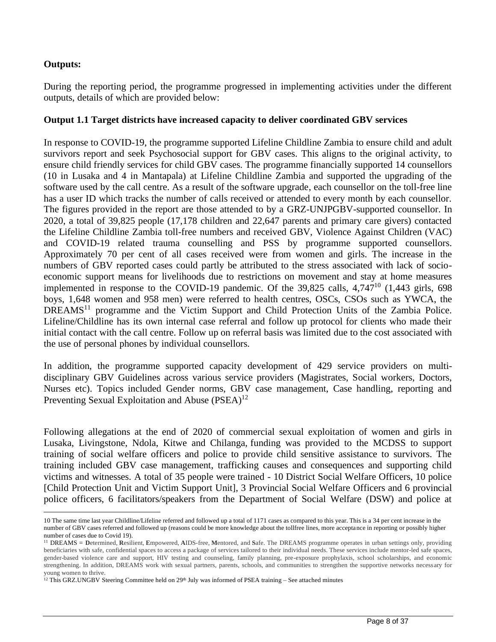### **Outputs:**

During the reporting period, the programme progressed in implementing activities under the different outputs, details of which are provided below:

### **Output 1.1 Target districts have increased capacity to deliver coordinated GBV services**

In response to COVID-19, the programme supported Lifeline Childline Zambia to ensure child and adult survivors report and seek Psychosocial support for GBV cases. This aligns to the original activity, to ensure child friendly services for child GBV cases. The programme financially supported 14 counsellors (10 in Lusaka and 4 in Mantapala) at Lifeline Childline Zambia and supported the upgrading of the software used by the call centre. As a result of the software upgrade, each counsellor on the toll-free line has a user ID which tracks the number of calls received or attended to every month by each counsellor. The figures provided in the report are those attended to by a GRZ-UNJPGBV-supported counsellor. In 2020, a total of 39,825 people (17,178 children and 22,647 parents and primary care givers) contacted the Lifeline Childline Zambia toll-free numbers and received GBV, Violence Against Children (VAC) and COVID-19 related trauma counselling and PSS by programme supported counsellors. Approximately 70 per cent of all cases received were from women and girls. The increase in the numbers of GBV reported cases could partly be attributed to the stress associated with lack of socioeconomic support means for livelihoods due to restrictions on movement and stay at home measures implemented in response to the COVID-19 pandemic. Of the  $39,825$  calls,  $4,747^{10}$  (1,443 girls, 698) boys, 1,648 women and 958 men) were referred to health centres, OSCs, CSOs such as YWCA, the DREAMS<sup>11</sup> programme and the Victim Support and Child Protection Units of the Zambia Police. Lifeline/Childline has its own internal case referral and follow up protocol for clients who made their initial contact with the call centre. Follow up on referral basis was limited due to the cost associated with the use of personal phones by individual counsellors.

In addition, the programme supported capacity development of 429 service providers on multidisciplinary GBV Guidelines across various service providers (Magistrates, Social workers, Doctors, Nurses etc). Topics included Gender norms, GBV case management, Case handling, reporting and Preventing Sexual Exploitation and Abuse  $(PSEA)^{12}$ 

Following allegations at the end of 2020 of commercial sexual exploitation of women and girls in Lusaka, Livingstone, Ndola, Kitwe and Chilanga, funding was provided to the MCDSS to support training of social welfare officers and police to provide child sensitive assistance to survivors. The training included GBV case management, trafficking causes and consequences and supporting child victims and witnesses. A total of 35 people were trained - 10 District Social Welfare Officers, 10 police [Child Protection Unit and Victim Support Unit], 3 Provincial Social Welfare Officers and 6 provincial police officers, 6 facilitators/speakers from the Department of Social Welfare (DSW) and police at

<sup>10</sup> The same time last year Childline/Lifeline referred and followed up a total of 1171 cases as compared to this year. This is a 34 per cent increase in the number of GBV cases referred and followed up (reasons could be more knowledge about the tollfree lines, more acceptance in reporting or possibly higher number of cases due to Covid 19).

<sup>11</sup> DREAMS = **D**etermined, **R**esilient, **E**mpowered, **A**IDS-free, **M**entored, and **S**afe. The DREAMS programme operates in urban settings only, providing beneficiaries with safe, confidential spaces to access a package of services tailored to their individual needs. These services include mentor-led safe spaces, gender-based violence care and support, HIV testing and counseling, family planning, pre-exposure prophylaxis, school scholarships, and economic strengthening. In addition, DREAMS work with sexual partners, parents, schools, and communities to strengthen the supportive networks necessary for young women to thrive.

 $12$  This GRZ.UNGBV Steering Committee held on 29<sup>th</sup> July was informed of PSEA training – See attached minutes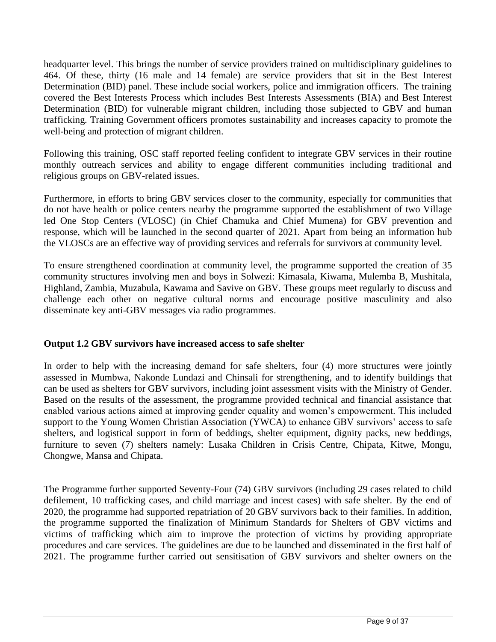headquarter level. This brings the number of service providers trained on multidisciplinary guidelines to 464. Of these, thirty (16 male and 14 female) are service providers that sit in the Best Interest Determination (BID) panel. These include social workers, police and immigration officers. The training covered the Best Interests Process which includes Best Interests Assessments (BIA) and Best Interest Determination (BID) for vulnerable migrant children, including those subjected to GBV and human trafficking. Training Government officers promotes sustainability and increases capacity to promote the well-being and protection of migrant children.

Following this training, OSC staff reported feeling confident to integrate GBV services in their routine monthly outreach services and ability to engage different communities including traditional and religious groups on GBV-related issues.

Furthermore, in efforts to bring GBV services closer to the community, especially for communities that do not have health or police centers nearby the programme supported the establishment of two Village led One Stop Centers (VLOSC) (in Chief Chamuka and Chief Mumena) for GBV prevention and response, which will be launched in the second quarter of 2021. Apart from being an information hub the VLOSCs are an effective way of providing services and referrals for survivors at community level.

To ensure strengthened coordination at community level, the programme supported the creation of 35 community structures involving men and boys in Solwezi: Kimasala, Kiwama, Mulemba B, Mushitala, Highland, Zambia, Muzabula, Kawama and Savive on GBV. These groups meet regularly to discuss and challenge each other on negative cultural norms and encourage positive masculinity and also disseminate key anti-GBV messages via radio programmes.

## **Output 1.2 GBV survivors have increased access to safe shelter**

In order to help with the increasing demand for safe shelters, four (4) more structures were jointly assessed in Mumbwa, Nakonde Lundazi and Chinsali for strengthening, and to identify buildings that can be used as shelters for GBV survivors, including joint assessment visits with the Ministry of Gender. Based on the results of the assessment, the programme provided technical and financial assistance that enabled various actions aimed at improving gender equality and women's empowerment. This included support to the Young Women Christian Association (YWCA) to enhance GBV survivors' access to safe shelters, and logistical support in form of beddings, shelter equipment, dignity packs, new beddings, furniture to seven (7) shelters namely: Lusaka Children in Crisis Centre, Chipata, Kitwe, Mongu, Chongwe, Mansa and Chipata.

The Programme further supported Seventy-Four (74) GBV survivors (including 29 cases related to child defilement, 10 trafficking cases, and child marriage and incest cases) with safe shelter. By the end of 2020, the programme had supported repatriation of 20 GBV survivors back to their families. In addition, the programme supported the finalization of Minimum Standards for Shelters of GBV victims and victims of trafficking which aim to improve the protection of victims by providing appropriate procedures and care services. The guidelines are due to be launched and disseminated in the first half of 2021. The programme further carried out sensitisation of GBV survivors and shelter owners on the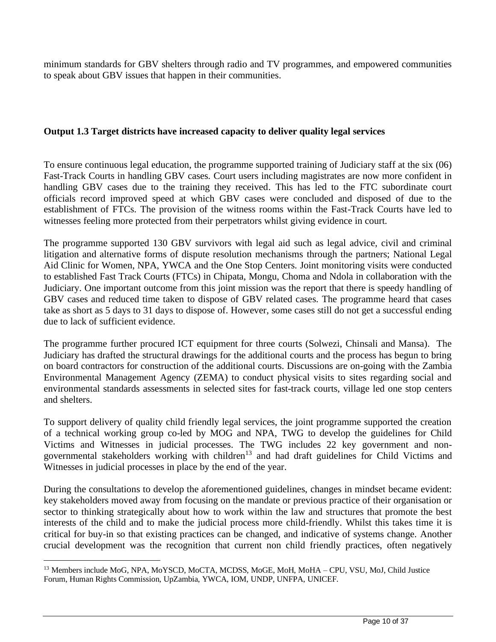minimum standards for GBV shelters through radio and TV programmes, and empowered communities to speak about GBV issues that happen in their communities.

### **Output 1.3 Target districts have increased capacity to deliver quality legal services**

To ensure continuous legal education, the programme supported training of Judiciary staff at the six (06) Fast-Track Courts in handling GBV cases. Court users including magistrates are now more confident in handling GBV cases due to the training they received. This has led to the FTC subordinate court officials record improved speed at which GBV cases were concluded and disposed of due to the establishment of FTCs. The provision of the witness rooms within the Fast-Track Courts have led to witnesses feeling more protected from their perpetrators whilst giving evidence in court.

The programme supported 130 GBV survivors with legal aid such as legal advice, civil and criminal litigation and alternative forms of dispute resolution mechanisms through the partners; National Legal Aid Clinic for Women, NPA, YWCA and the One Stop Centers. Joint monitoring visits were conducted to established Fast Track Courts (FTCs) in Chipata, Mongu, Choma and Ndola in collaboration with the Judiciary. One important outcome from this joint mission was the report that there is speedy handling of GBV cases and reduced time taken to dispose of GBV related cases. The programme heard that cases take as short as 5 days to 31 days to dispose of. However, some cases still do not get a successful ending due to lack of sufficient evidence.

The programme further procured ICT equipment for three courts (Solwezi, Chinsali and Mansa). The Judiciary has drafted the structural drawings for the additional courts and the process has begun to bring on board contractors for construction of the additional courts. Discussions are on-going with the Zambia Environmental Management Agency (ZEMA) to conduct physical visits to sites regarding social and environmental standards assessments in selected sites for fast-track courts, village led one stop centers and shelters.

To support delivery of quality child friendly legal services, the joint programme supported the creation of a technical working group co-led by MOG and NPA, TWG to develop the guidelines for Child Victims and Witnesses in judicial processes. The TWG includes 22 key government and nongovernmental stakeholders working with children<sup>13</sup> and had draft guidelines for Child Victims and Witnesses in judicial processes in place by the end of the year.

During the consultations to develop the aforementioned guidelines, changes in mindset became evident: key stakeholders moved away from focusing on the mandate or previous practice of their organisation or sector to thinking strategically about how to work within the law and structures that promote the best interests of the child and to make the judicial process more child-friendly. Whilst this takes time it is critical for buy-in so that existing practices can be changed, and indicative of systems change. Another crucial development was the recognition that current non child friendly practices, often negatively

<sup>&</sup>lt;sup>13</sup> Members include MoG, NPA, MoYSCD, MoCTA, MCDSS, MoGE, MoH, MoHA – CPU, VSU, MoJ, Child Justice Forum, Human Rights Commission, UpZambia, YWCA, IOM, UNDP, UNFPA, UNICEF.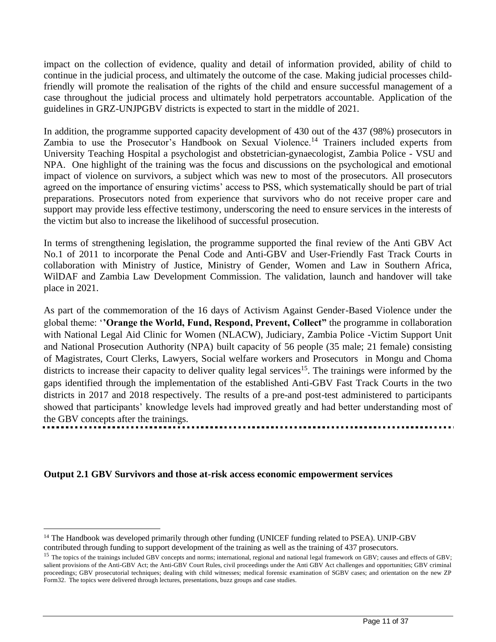impact on the collection of evidence, quality and detail of information provided, ability of child to continue in the judicial process, and ultimately the outcome of the case. Making judicial processes childfriendly will promote the realisation of the rights of the child and ensure successful management of a case throughout the judicial process and ultimately hold perpetrators accountable. Application of the guidelines in GRZ-UNJPGBV districts is expected to start in the middle of 2021.

In addition, the programme supported capacity development of 430 out of the 437 (98%) prosecutors in Zambia to use the Prosecutor's Handbook on Sexual Violence.<sup>14</sup> Trainers included experts from University Teaching Hospital a psychologist and obstetrician-gynaecologist, Zambia Police - VSU and NPA. One highlight of the training was the focus and discussions on the psychological and emotional impact of violence on survivors, a subject which was new to most of the prosecutors. All prosecutors agreed on the importance of ensuring victims' access to PSS, which systematically should be part of trial preparations. Prosecutors noted from experience that survivors who do not receive proper care and support may provide less effective testimony, underscoring the need to ensure services in the interests of the victim but also to increase the likelihood of successful prosecution.

In terms of strengthening legislation, the programme supported the final review of the Anti GBV Act No.1 of 2011 to incorporate the Penal Code and Anti-GBV and User-Friendly Fast Track Courts in collaboration with Ministry of Justice, Ministry of Gender, Women and Law in Southern Africa, WilDAF and Zambia Law Development Commission. The validation, launch and handover will take place in 2021.

As part of the commemoration of the 16 days of Activism Against Gender-Based Violence under the global theme: '**'Orange the World, Fund, Respond, Prevent, Collect"** the programme in collaboration with National Legal Aid Clinic for Women (NLACW), Judiciary, Zambia Police -Victim Support Unit and National Prosecution Authority (NPA) built capacity of 56 people (35 male; 21 female) consisting of Magistrates, Court Clerks, Lawyers, Social welfare workers and Prosecutors in Mongu and Choma districts to increase their capacity to deliver quality legal services<sup>15</sup>. The trainings were informed by the gaps identified through the implementation of the established Anti-GBV Fast Track Courts in the two districts in 2017 and 2018 respectively. The results of a pre-and post-test administered to participants showed that participants' knowledge levels had improved greatly and had better understanding most of the GBV concepts after the trainings.

#### **Output 2.1 GBV Survivors and those at-risk access economic empowerment services**

<sup>&</sup>lt;sup>14</sup> The Handbook was developed primarily through other funding (UNICEF funding related to PSEA). UNJP-GBV contributed through funding to support development of the training as well as the training of 437 prosecutors.

<sup>&</sup>lt;sup>15</sup> The topics of the trainings included GBV concepts and norms; international, regional and national legal framework on GBV; causes and effects of GBV; salient provisions of the Anti-GBV Act; the Anti-GBV Court Rules, civil proceedings under the Anti GBV Act challenges and opportunities; GBV criminal proceedings; GBV prosecutorial techniques; dealing with child witnesses; medical forensic examination of SGBV cases; and orientation on the new ZP Form32. The topics were delivered through lectures, presentations, buzz groups and case studies.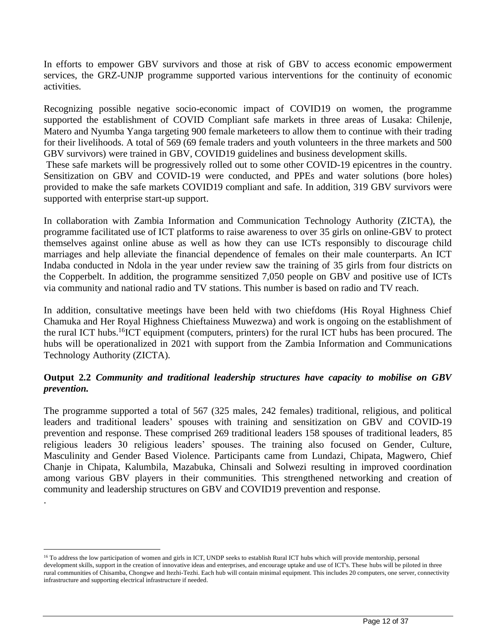In efforts to empower GBV survivors and those at risk of GBV to access economic empowerment services, the GRZ-UNJP programme supported various interventions for the continuity of economic activities.

Recognizing possible negative socio-economic impact of COVID19 on women, the programme supported the establishment of COVID Compliant safe markets in three areas of Lusaka: Chilenje, Matero and Nyumba Yanga targeting 900 female marketeers to allow them to continue with their trading for their livelihoods. A total of 569 (69 female traders and youth volunteers in the three markets and 500 GBV survivors) were trained in GBV, COVID19 guidelines and business development skills.

These safe markets will be progressively rolled out to some other COVID-19 epicentres in the country. Sensitization on GBV and COVID-19 were conducted, and PPEs and water solutions (bore holes) provided to make the safe markets COVID19 compliant and safe. In addition, 319 GBV survivors were supported with enterprise start-up support.

In collaboration with Zambia Information and Communication Technology Authority (ZICTA), the programme facilitated use of ICT platforms to raise awareness to over 35 girls on online-GBV to protect themselves against online abuse as well as how they can use ICTs responsibly to discourage child marriages and help alleviate the financial dependence of females on their male counterparts. An ICT Indaba conducted in Ndola in the year under review saw the training of 35 girls from four districts on the Copperbelt. In addition, the programme sensitized 7,050 people on GBV and positive use of ICTs via community and national radio and TV stations. This number is based on radio and TV reach.

In addition, consultative meetings have been held with two chiefdoms (His Royal Highness Chief Chamuka and Her Royal Highness Chieftainess Muwezwa) and work is ongoing on the establishment of the rural ICT hubs.<sup>16</sup>ICT equipment (computers, printers) for the rural ICT hubs has been procured. The hubs will be operationalized in 2021 with support from the Zambia Information and Communications Technology Authority (ZICTA).

## **Output 2.2** *Community and traditional leadership structures have capacity to mobilise on GBV prevention.*

The programme supported a total of 567 (325 males, 242 females) traditional, religious, and political leaders and traditional leaders' spouses with training and sensitization on GBV and COVID-19 prevention and response. These comprised 269 traditional leaders 158 spouses of traditional leaders, 85 religious leaders 30 religious leaders' spouses. The training also focused on Gender, Culture, Masculinity and Gender Based Violence. Participants came from Lundazi, Chipata, Magwero, Chief Chanje in Chipata, Kalumbila, Mazabuka, Chinsali and Solwezi resulting in improved coordination among various GBV players in their communities. This strengthened networking and creation of community and leadership structures on GBV and COVID19 prevention and response.

.

<sup>&</sup>lt;sup>16</sup> To address the low participation of women and girls in ICT, UNDP seeks to establish Rural ICT hubs which will provide mentorship, personal development skills, support in the creation of innovative ideas and enterprises, and encourage uptake and use of ICT's. These hubs will be piloted in three rural communities of Chisamba, Chongwe and Itezhi-Tezhi. Each hub will contain minimal equipment. This includes 20 computers, one server, connectivity infrastructure and supporting electrical infrastructure if needed.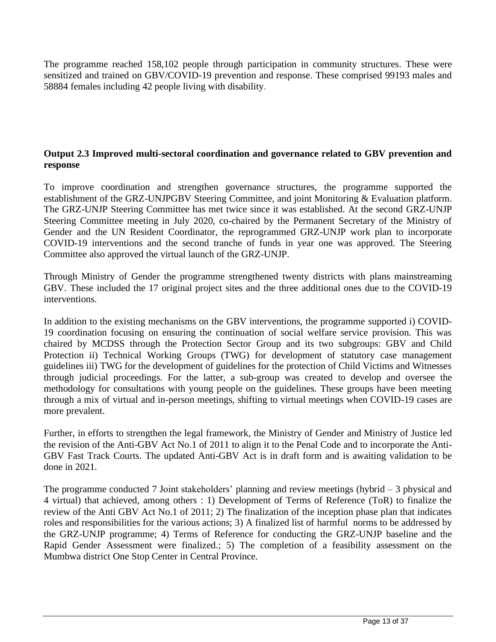The programme reached 158,102 people through participation in community structures. These were sensitized and trained on GBV/COVID-19 prevention and response. These comprised 99193 males and 58884 females including 42 people living with disability.

## **Output 2.3 Improved multi-sectoral coordination and governance related to GBV prevention and response**

To improve coordination and strengthen governance structures, the programme supported the establishment of the GRZ-UNJPGBV Steering Committee, and joint Monitoring & Evaluation platform. The GRZ-UNJP Steering Committee has met twice since it was established. At the second GRZ-UNJP Steering Committee meeting in July 2020, co-chaired by the Permanent Secretary of the Ministry of Gender and the UN Resident Coordinator, the reprogrammed GRZ-UNJP work plan to incorporate COVID-19 interventions and the second tranche of funds in year one was approved. The Steering Committee also approved the virtual launch of the GRZ-UNJP.

Through Ministry of Gender the programme strengthened twenty districts with plans mainstreaming GBV. These included the 17 original project sites and the three additional ones due to the COVID-19 interventions.

In addition to the existing mechanisms on the GBV interventions, the programme supported i) COVID-19 coordination focusing on ensuring the continuation of social welfare service provision. This was chaired by MCDSS through the Protection Sector Group and its two subgroups: GBV and Child Protection ii) Technical Working Groups (TWG) for development of statutory case management guidelines iii) TWG for the development of guidelines for the protection of Child Victims and Witnesses through judicial proceedings. For the latter, a sub-group was created to develop and oversee the methodology for consultations with young people on the guidelines. These groups have been meeting through a mix of virtual and in-person meetings, shifting to virtual meetings when COVID-19 cases are more prevalent.

Further, in efforts to strengthen the legal framework, the Ministry of Gender and Ministry of Justice led the revision of the Anti-GBV Act No.1 of 2011 to align it to the Penal Code and to incorporate the Anti-GBV Fast Track Courts. The updated Anti-GBV Act is in draft form and is awaiting validation to be done in 2021.

The programme conducted 7 Joint stakeholders' planning and review meetings (hybrid – 3 physical and 4 virtual) that achieved, among others : 1) Development of Terms of Reference (ToR) to finalize the review of the Anti GBV Act No.1 of 2011; 2) The finalization of the inception phase plan that indicates roles and responsibilities for the various actions; 3) A finalized list of harmful norms to be addressed by the GRZ-UNJP programme; 4) Terms of Reference for conducting the GRZ-UNJP baseline and the Rapid Gender Assessment were finalized.; 5) The completion of a feasibility assessment on the Mumbwa district One Stop Center in Central Province.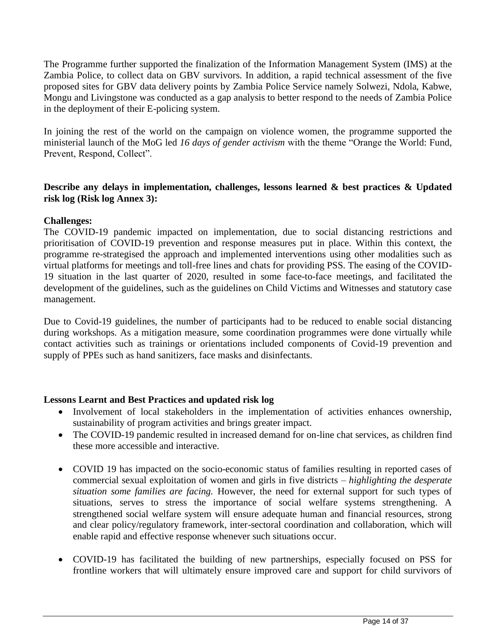The Programme further supported the finalization of the Information Management System (IMS) at the Zambia Police, to collect data on GBV survivors. In addition, a rapid technical assessment of the five proposed sites for GBV data delivery points by Zambia Police Service namely Solwezi, Ndola, Kabwe, Mongu and Livingstone was conducted as a gap analysis to better respond to the needs of Zambia Police in the deployment of their E-policing system.

In joining the rest of the world on the campaign on violence women, the programme supported the ministerial launch of the MoG led *16 days of gender activism* with the theme "Orange the World: Fund, Prevent, Respond, Collect".

## **Describe any delays in implementation, challenges, lessons learned & best practices & Updated risk log (Risk log Annex 3):**

## **Challenges:**

The COVID-19 pandemic impacted on implementation, due to social distancing restrictions and prioritisation of COVID-19 prevention and response measures put in place. Within this context, the programme re-strategised the approach and implemented interventions using other modalities such as virtual platforms for meetings and toll-free lines and chats for providing PSS. The easing of the COVID-19 situation in the last quarter of 2020, resulted in some face-to-face meetings, and facilitated the development of the guidelines, such as the guidelines on Child Victims and Witnesses and statutory case management.

Due to Covid-19 guidelines, the number of participants had to be reduced to enable social distancing during workshops. As a mitigation measure, some coordination programmes were done virtually while contact activities such as trainings or orientations included components of Covid-19 prevention and supply of PPEs such as hand sanitizers, face masks and disinfectants.

## **Lessons Learnt and Best Practices and updated risk log**

- Involvement of local stakeholders in the implementation of activities enhances ownership, sustainability of program activities and brings greater impact.
- The COVID-19 pandemic resulted in increased demand for on-line chat services, as children find these more accessible and interactive.
- COVID 19 has impacted on the socio-economic status of families resulting in reported cases of commercial sexual exploitation of women and girls in five districts *– highlighting the desperate situation some families are facing.* However, the need for external support for such types of situations, serves to stress the importance of social welfare systems strengthening. A strengthened social welfare system will ensure adequate human and financial resources, strong and clear policy/regulatory framework, inter-sectoral coordination and collaboration, which will enable rapid and effective response whenever such situations occur.
- COVID-19 has facilitated the building of new partnerships, especially focused on PSS for frontline workers that will ultimately ensure improved care and support for child survivors of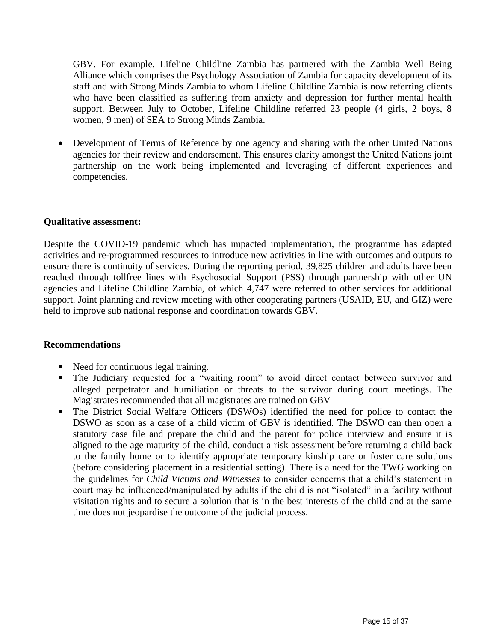GBV. For example, Lifeline Childline Zambia has partnered with the Zambia Well Being Alliance which comprises the Psychology Association of Zambia for capacity development of its staff and with Strong Minds Zambia to whom Lifeline Childline Zambia is now referring clients who have been classified as suffering from anxiety and depression for further mental health support. Between July to October, Lifeline Childline referred 23 people (4 girls, 2 boys, 8 women, 9 men) of SEA to Strong Minds Zambia.

• Development of Terms of Reference by one agency and sharing with the other United Nations agencies for their review and endorsement. This ensures clarity amongst the United Nations joint partnership on the work being implemented and leveraging of different experiences and competencies.

#### **Qualitative assessment:**

Despite the COVID-19 pandemic which has impacted implementation, the programme has adapted activities and re-programmed resources to introduce new activities in line with outcomes and outputs to ensure there is continuity of services. During the reporting period, 39,825 children and adults have been reached through tollfree lines with Psychosocial Support (PSS) through partnership with other UN agencies and Lifeline Childline Zambia, of which 4,747 were referred to other services for additional support. Joint planning and review meeting with other cooperating partners (USAID, EU, and GIZ) were held to improve sub national response and coordination towards GBV.

#### **Recommendations**

- Need for continuous legal training.
- The Judiciary requested for a "waiting room" to avoid direct contact between survivor and alleged perpetrator and humiliation or threats to the survivor during court meetings. The Magistrates recommended that all magistrates are trained on GBV
- The District Social Welfare Officers (DSWOs) identified the need for police to contact the DSWO as soon as a case of a child victim of GBV is identified. The DSWO can then open a statutory case file and prepare the child and the parent for police interview and ensure it is aligned to the age maturity of the child, conduct a risk assessment before returning a child back to the family home or to identify appropriate temporary kinship care or foster care solutions (before considering placement in a residential setting). There is a need for the TWG working on the guidelines for *Child Victims and Witnesses* to consider concerns that a child's statement in court may be influenced/manipulated by adults if the child is not "isolated" in a facility without visitation rights and to secure a solution that is in the best interests of the child and at the same time does not jeopardise the outcome of the judicial process.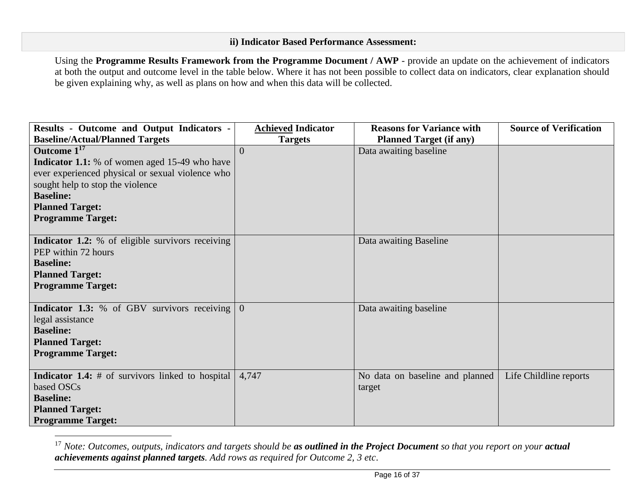## **ii) Indicator Based Performance Assessment:**

Using the **Programme Results Framework from the Programme Document / AWP** - provide an update on the achievement of indicators at both the output and outcome level in the table below. Where it has not been possible to collect data on indicators, clear explanation should be given explaining why, as well as plans on how and when this data will be collected.

| Results - Outcome and Output Indicators -               | <b>Achieved Indicator</b> | <b>Reasons for Variance with</b> | <b>Source of Verification</b> |
|---------------------------------------------------------|---------------------------|----------------------------------|-------------------------------|
| <b>Baseline/Actual/Planned Targets</b>                  | <b>Targets</b>            | <b>Planned Target (if any)</b>   |                               |
| Outcome $1^{17}$                                        | $\Omega$                  | Data awaiting baseline           |                               |
| <b>Indicator 1.1:</b> % of women aged 15-49 who have    |                           |                                  |                               |
| ever experienced physical or sexual violence who        |                           |                                  |                               |
| sought help to stop the violence                        |                           |                                  |                               |
| <b>Baseline:</b>                                        |                           |                                  |                               |
| <b>Planned Target:</b>                                  |                           |                                  |                               |
| <b>Programme Target:</b>                                |                           |                                  |                               |
|                                                         |                           |                                  |                               |
| Indicator 1.2: % of eligible survivors receiving        |                           | Data awaiting Baseline           |                               |
| PEP within 72 hours                                     |                           |                                  |                               |
| <b>Baseline:</b>                                        |                           |                                  |                               |
| <b>Planned Target:</b>                                  |                           |                                  |                               |
| <b>Programme Target:</b>                                |                           |                                  |                               |
|                                                         |                           |                                  |                               |
| <b>Indicator 1.3:</b> % of GBV survivors receiving      | $\overline{0}$            | Data awaiting baseline           |                               |
| legal assistance                                        |                           |                                  |                               |
| <b>Baseline:</b>                                        |                           |                                  |                               |
| <b>Planned Target:</b>                                  |                           |                                  |                               |
| <b>Programme Target:</b>                                |                           |                                  |                               |
|                                                         |                           |                                  |                               |
| <b>Indicator 1.4:</b> # of survivors linked to hospital | 4,747                     | No data on baseline and planned  | Life Childline reports        |
| based OSCs                                              |                           | target                           |                               |
| <b>Baseline:</b>                                        |                           |                                  |                               |
| <b>Planned Target:</b>                                  |                           |                                  |                               |
| <b>Programme Target:</b>                                |                           |                                  |                               |

<sup>&</sup>lt;sup>17</sup> *Note: Outcomes, outputs, indicators and targets should be as outlined in the Project Document so that you report on your actual achievements against planned targets. Add rows as required for Outcome 2, 3 etc*.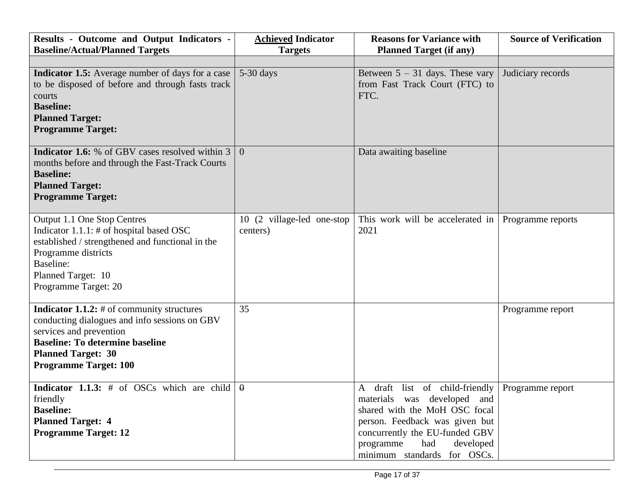| Results - Outcome and Output Indicators -<br><b>Baseline/Actual/Planned Targets</b>                                                                                                                                                    | <b>Achieved Indicator</b><br><b>Targets</b> | <b>Reasons for Variance with</b><br><b>Planned Target (if any)</b>                                                                                                                                                                 | <b>Source of Verification</b> |
|----------------------------------------------------------------------------------------------------------------------------------------------------------------------------------------------------------------------------------------|---------------------------------------------|------------------------------------------------------------------------------------------------------------------------------------------------------------------------------------------------------------------------------------|-------------------------------|
|                                                                                                                                                                                                                                        |                                             |                                                                                                                                                                                                                                    |                               |
| <b>Indicator 1.5:</b> Average number of days for a case<br>to be disposed of before and through fasts track<br>courts<br><b>Baseline:</b><br><b>Planned Target:</b><br><b>Programme Target:</b>                                        | $5-30$ days                                 | Between $5 - 31$ days. These vary<br>from Fast Track Court (FTC) to<br>FTC.                                                                                                                                                        | Judiciary records             |
| <b>Indicator 1.6:</b> % of GBV cases resolved within 3<br>months before and through the Fast-Track Courts<br><b>Baseline:</b><br><b>Planned Target:</b><br><b>Programme Target:</b>                                                    | $\Omega$                                    | Data awaiting baseline                                                                                                                                                                                                             |                               |
| Output 1.1 One Stop Centres<br>Indicator $1.1.1:$ # of hospital based OSC<br>established / strengthened and functional in the<br>Programme districts<br>Baseline:<br>Planned Target: 10<br>Programme Target: 20                        | 10 (2 village-led one-stop<br>centers)      | This work will be accelerated in<br>2021                                                                                                                                                                                           | Programme reports             |
| <b>Indicator 1.1.2:</b> $#$ of community structures<br>conducting dialogues and info sessions on GBV<br>services and prevention<br><b>Baseline: To determine baseline</b><br><b>Planned Target: 30</b><br><b>Programme Target: 100</b> | 35                                          |                                                                                                                                                                                                                                    | Programme report              |
| <b>Indicator 1.1.3:</b> # of OSCs which are child<br>friendly<br><b>Baseline:</b><br><b>Planned Target: 4</b><br><b>Programme Target: 12</b>                                                                                           | $\theta$                                    | A draft list of child-friendly<br>materials was developed and<br>shared with the MoH OSC focal<br>person. Feedback was given but<br>concurrently the EU-funded GBV<br>had<br>programme<br>developed<br>minimum standards for OSCs. | Programme report              |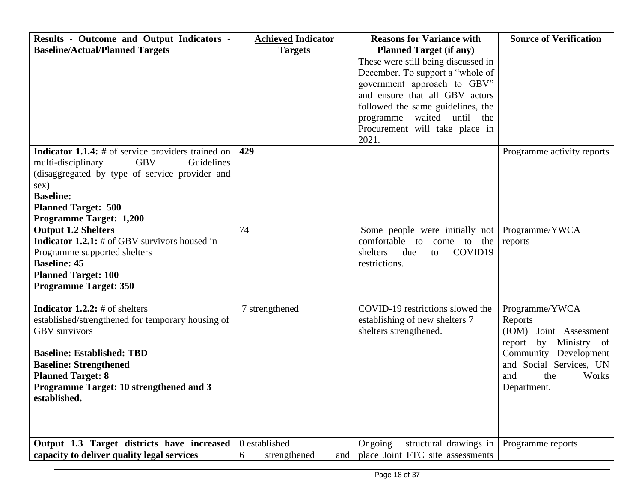| Results - Outcome and Output Indicators -                                                                                                                                                                                                                                       | <b>Achieved Indicator</b> | <b>Reasons for Variance with</b>                                                                                                                                                                                                                       | <b>Source of Verification</b>                                                                                                                                             |
|---------------------------------------------------------------------------------------------------------------------------------------------------------------------------------------------------------------------------------------------------------------------------------|---------------------------|--------------------------------------------------------------------------------------------------------------------------------------------------------------------------------------------------------------------------------------------------------|---------------------------------------------------------------------------------------------------------------------------------------------------------------------------|
| <b>Baseline/Actual/Planned Targets</b>                                                                                                                                                                                                                                          | <b>Targets</b>            | <b>Planned Target (if any)</b>                                                                                                                                                                                                                         |                                                                                                                                                                           |
|                                                                                                                                                                                                                                                                                 |                           | These were still being discussed in<br>December. To support a "whole of<br>government approach to GBV"<br>and ensure that all GBV actors<br>followed the same guidelines, the<br>programme waited until the<br>Procurement will take place in<br>2021. |                                                                                                                                                                           |
| <b>Indicator 1.1.4:</b> # of service providers trained on<br><b>GBV</b><br>Guidelines<br>multi-disciplinary<br>(disaggregated by type of service provider and<br>sex)<br><b>Baseline:</b><br><b>Planned Target: 500</b><br><b>Programme Target: 1,200</b>                       | 429                       |                                                                                                                                                                                                                                                        | Programme activity reports                                                                                                                                                |
| <b>Output 1.2 Shelters</b><br><b>Indicator 1.2.1:</b> $#$ of GBV survivors housed in<br>Programme supported shelters<br><b>Baseline: 45</b><br><b>Planned Target: 100</b><br><b>Programme Target: 350</b>                                                                       | 74                        | Some people were initially not Programme/YWCA<br>comfortable to come to the<br>COVID19<br>shelters<br>due<br>to<br>restrictions.                                                                                                                       | reports                                                                                                                                                                   |
| <b>Indicator 1.2.2:</b> # of shelters<br>established/strengthened for temporary housing of<br><b>GBV</b> survivors<br><b>Baseline: Established: TBD</b><br><b>Baseline: Strengthened</b><br><b>Planned Target: 8</b><br>Programme Target: 10 strengthened and 3<br>established. | 7 strengthened            | COVID-19 restrictions slowed the<br>establishing of new shelters 7<br>shelters strengthened.                                                                                                                                                           | Programme/YWCA<br>Reports<br>(IOM) Joint Assessment<br>by Ministry of<br>report<br>Community Development<br>and Social Services, UN<br>Works<br>and<br>the<br>Department. |
| Output 1.3 Target districts have increased                                                                                                                                                                                                                                      | 0 established             | Ongoing $-$ structural drawings in                                                                                                                                                                                                                     |                                                                                                                                                                           |
| capacity to deliver quality legal services                                                                                                                                                                                                                                      | 6<br>strengthened<br>and  | place Joint FTC site assessments                                                                                                                                                                                                                       | Programme reports                                                                                                                                                         |
|                                                                                                                                                                                                                                                                                 |                           |                                                                                                                                                                                                                                                        |                                                                                                                                                                           |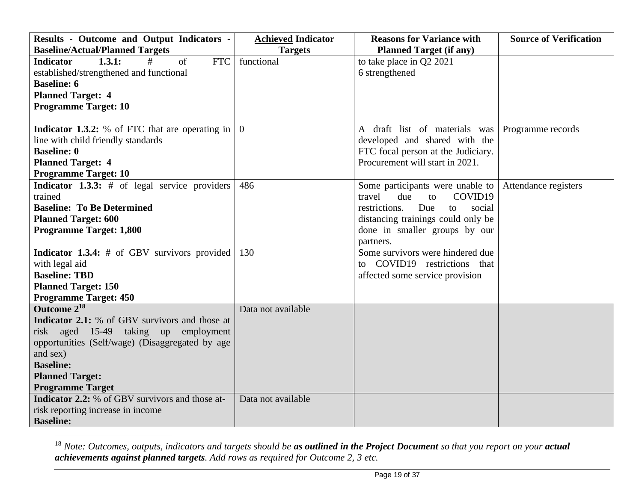| Results - Outcome and Output Indicators -              | <b>Achieved Indicator</b> | <b>Reasons for Variance with</b>                | <b>Source of Verification</b> |
|--------------------------------------------------------|---------------------------|-------------------------------------------------|-------------------------------|
| <b>Baseline/Actual/Planned Targets</b>                 | <b>Targets</b>            | <b>Planned Target (if any)</b>                  |                               |
| <b>Indicator</b><br>1.3.1:<br><b>FTC</b><br>#<br>of    | functional                | to take place in Q2 2021                        |                               |
| established/strengthened and functional                |                           | 6 strengthened                                  |                               |
| <b>Baseline: 6</b>                                     |                           |                                                 |                               |
| <b>Planned Target: 4</b>                               |                           |                                                 |                               |
| <b>Programme Target: 10</b>                            |                           |                                                 |                               |
|                                                        |                           |                                                 |                               |
| <b>Indicator 1.3.2:</b> % of FTC that are operating in | $\overline{0}$            | A draft list of materials was Programme records |                               |
| line with child friendly standards                     |                           | developed and shared with the                   |                               |
| <b>Baseline: 0</b>                                     |                           | FTC focal person at the Judiciary.              |                               |
| <b>Planned Target: 4</b>                               |                           | Procurement will start in 2021.                 |                               |
| <b>Programme Target: 10</b>                            |                           |                                                 |                               |
| <b>Indicator 1.3.3:</b> $#$ of legal service providers | 486                       | Some participants were unable to                | Attendance registers          |
| trained                                                |                           | COVID19<br>due<br>travel<br>to                  |                               |
| <b>Baseline: To Be Determined</b>                      |                           | restrictions.<br>Due<br>social<br>to            |                               |
| <b>Planned Target: 600</b>                             |                           | distancing trainings could only be              |                               |
| <b>Programme Target: 1,800</b>                         |                           | done in smaller groups by our                   |                               |
|                                                        |                           | partners.                                       |                               |
| Indicator 1.3.4: # of GBV survivors provided           | 130                       | Some survivors were hindered due                |                               |
| with legal aid                                         |                           | to COVID19 restrictions that                    |                               |
| <b>Baseline: TBD</b>                                   |                           | affected some service provision                 |                               |
| <b>Planned Target: 150</b>                             |                           |                                                 |                               |
| <b>Programme Target: 450</b>                           |                           |                                                 |                               |
| Outcome 2 <sup>18</sup>                                | Data not available        |                                                 |                               |
| <b>Indicator 2.1:</b> % of GBV survivors and those at  |                           |                                                 |                               |
| risk aged 15-49 taking up employment                   |                           |                                                 |                               |
| opportunities (Self/wage) (Disaggregated by age        |                           |                                                 |                               |
| and sex)                                               |                           |                                                 |                               |
| <b>Baseline:</b>                                       |                           |                                                 |                               |
| <b>Planned Target:</b>                                 |                           |                                                 |                               |
| <b>Programme Target</b>                                |                           |                                                 |                               |
| <b>Indicator 2.2:</b> % of GBV survivors and those at- | Data not available        |                                                 |                               |
| risk reporting increase in income                      |                           |                                                 |                               |
| <b>Baseline:</b>                                       |                           |                                                 |                               |

<sup>18</sup> *Note: Outcomes, outputs, indicators and targets should be as outlined in the Project Document so that you report on your actual achievements against planned targets. Add rows as required for Outcome 2, 3 etc.*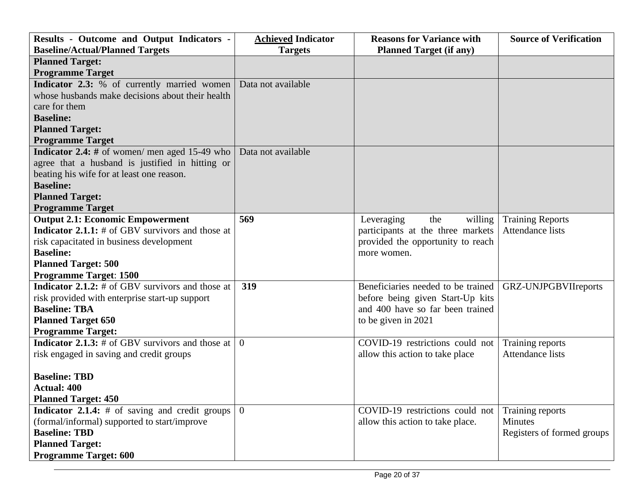| <b>Results - Outcome and Output Indicators -</b>          | <b>Achieved Indicator</b> | <b>Reasons for Variance with</b>   | <b>Source of Verification</b> |
|-----------------------------------------------------------|---------------------------|------------------------------------|-------------------------------|
| <b>Baseline/Actual/Planned Targets</b>                    | <b>Targets</b>            | <b>Planned Target (if any)</b>     |                               |
| <b>Planned Target:</b>                                    |                           |                                    |                               |
| <b>Programme Target</b>                                   |                           |                                    |                               |
| Indicator 2.3: % of currently married women               | Data not available        |                                    |                               |
| whose husbands make decisions about their health          |                           |                                    |                               |
| care for them                                             |                           |                                    |                               |
| <b>Baseline:</b>                                          |                           |                                    |                               |
| <b>Planned Target:</b>                                    |                           |                                    |                               |
| <b>Programme Target</b>                                   |                           |                                    |                               |
| <b>Indicator 2.4:</b> # of women/ men aged 15-49 who      | Data not available        |                                    |                               |
| agree that a husband is justified in hitting or           |                           |                                    |                               |
| beating his wife for at least one reason.                 |                           |                                    |                               |
| <b>Baseline:</b>                                          |                           |                                    |                               |
| <b>Planned Target:</b>                                    |                           |                                    |                               |
| <b>Programme Target</b>                                   |                           |                                    |                               |
| <b>Output 2.1: Economic Empowerment</b>                   | 569                       | Leveraging<br>the<br>willing       | <b>Training Reports</b>       |
| <b>Indicator 2.1.1:</b> $#$ of GBV survivors and those at |                           | participants at the three markets  | Attendance lists              |
| risk capacitated in business development                  |                           | provided the opportunity to reach  |                               |
| <b>Baseline:</b>                                          |                           | more women.                        |                               |
| <b>Planned Target: 500</b>                                |                           |                                    |                               |
| <b>Programme Target: 1500</b>                             |                           |                                    |                               |
| <b>Indicator 2.1.2:</b> # of GBV survivors and those at   | 319                       | Beneficiaries needed to be trained | GRZ-UNJPGBVIIreports          |
| risk provided with enterprise start-up support            |                           | before being given Start-Up kits   |                               |
| <b>Baseline: TBA</b>                                      |                           | and 400 have so far been trained   |                               |
| <b>Planned Target 650</b>                                 |                           | to be given in 2021                |                               |
| <b>Programme Target:</b>                                  |                           |                                    |                               |
| <b>Indicator 2.1.3:</b> $#$ of GBV survivors and those at | $\theta$                  | COVID-19 restrictions could not    | Training reports              |
| risk engaged in saving and credit groups                  |                           | allow this action to take place    | <b>Attendance lists</b>       |
|                                                           |                           |                                    |                               |
| <b>Baseline: TBD</b>                                      |                           |                                    |                               |
| <b>Actual: 400</b>                                        |                           |                                    |                               |
| <b>Planned Target: 450</b>                                |                           |                                    |                               |
| <b>Indicator 2.1.4:</b> $#$ of saving and credit groups   | $\overline{0}$            | COVID-19 restrictions could not    | Training reports              |
| (formal/informal) supported to start/improve              |                           | allow this action to take place.   | <b>Minutes</b>                |
| <b>Baseline: TBD</b>                                      |                           |                                    | Registers of formed groups    |
| <b>Planned Target:</b>                                    |                           |                                    |                               |
| <b>Programme Target: 600</b>                              |                           |                                    |                               |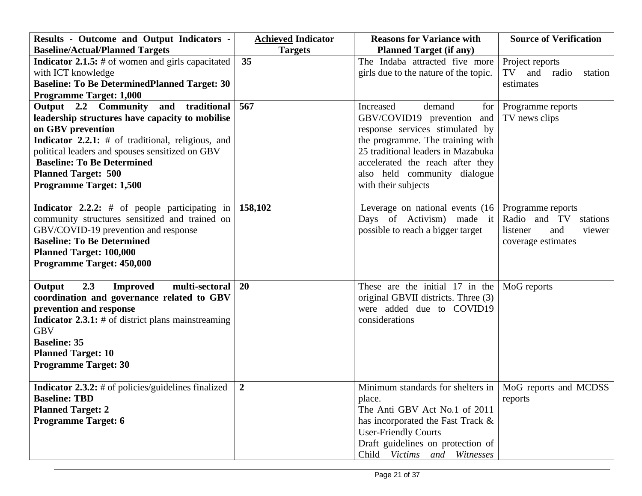| Results - Outcome and Output Indicators -                  | <b>Achieved Indicator</b> | <b>Reasons for Variance with</b>                          | <b>Source of Verification</b> |  |
|------------------------------------------------------------|---------------------------|-----------------------------------------------------------|-------------------------------|--|
| <b>Baseline/Actual/Planned Targets</b>                     | <b>Targets</b>            | <b>Planned Target (if any)</b>                            |                               |  |
| <b>Indicator 2.1.5:</b> $#$ of women and girls capacitated | 35                        | The Indaba attracted five more                            | Project reports               |  |
| with ICT knowledge                                         |                           | girls due to the nature of the topic.                     | TV<br>and<br>radio<br>station |  |
| <b>Baseline: To Be DeterminedPlanned Target: 30</b>        |                           |                                                           | estimates                     |  |
| <b>Programme Target: 1,000</b>                             |                           |                                                           |                               |  |
| Output 2.2 Community<br>and traditional                    | 567                       | Increased<br>demand<br>for                                | Programme reports             |  |
| leadership structures have capacity to mobilise            |                           | GBV/COVID19 prevention and                                | TV news clips                 |  |
| on GBV prevention                                          |                           | response services stimulated by                           |                               |  |
| <b>Indicator 2.2.1:</b> $#$ of traditional, religious, and |                           | the programme. The training with                          |                               |  |
| political leaders and spouses sensitized on GBV            |                           | 25 traditional leaders in Mazabuka                        |                               |  |
| <b>Baseline: To Be Determined</b>                          |                           | accelerated the reach after they                          |                               |  |
| <b>Planned Target: 500</b>                                 |                           | also held community dialogue                              |                               |  |
| <b>Programme Target: 1,500</b>                             |                           | with their subjects                                       |                               |  |
|                                                            |                           |                                                           |                               |  |
| <b>Indicator 2.2.2:</b> # of people participating in       | 158,102                   | Leverage on national events $(16)$                        | Programme reports             |  |
| community structures sensitized and trained on             |                           | Days of Activism) made it                                 | Radio and TV<br>stations      |  |
| GBV/COVID-19 prevention and response                       |                           | possible to reach a bigger target                         | listener<br>and<br>viewer     |  |
| <b>Baseline: To Be Determined</b>                          |                           |                                                           | coverage estimates            |  |
| <b>Planned Target: 100,000</b>                             |                           |                                                           |                               |  |
| Programme Target: 450,000                                  |                           |                                                           |                               |  |
|                                                            |                           |                                                           |                               |  |
| 2.3<br>multi-sectoral<br><b>Improved</b><br>Output         | 20                        | These are the initial 17 in the                           | MoG reports                   |  |
| coordination and governance related to GBV                 |                           | original GBVII districts. Three (3)                       |                               |  |
| prevention and response                                    |                           | were added due to COVID19                                 |                               |  |
| <b>Indicator 2.3.1:</b> # of district plans mainstreaming  |                           | considerations                                            |                               |  |
| <b>GBV</b>                                                 |                           |                                                           |                               |  |
| <b>Baseline: 35</b>                                        |                           |                                                           |                               |  |
| <b>Planned Target: 10</b>                                  |                           |                                                           |                               |  |
| <b>Programme Target: 30</b>                                |                           |                                                           |                               |  |
|                                                            |                           |                                                           |                               |  |
| <b>Indicator 2.3.2:</b> # of policies/guidelines finalized | $\boldsymbol{2}$          | Minimum standards for shelters in   MoG reports and MCDSS |                               |  |
| <b>Baseline: TBD</b>                                       |                           | place.                                                    | reports                       |  |
| <b>Planned Target: 2</b>                                   |                           | The Anti GBV Act No.1 of 2011                             |                               |  |
| <b>Programme Target: 6</b>                                 |                           | has incorporated the Fast Track &                         |                               |  |
|                                                            |                           | <b>User-Friendly Courts</b>                               |                               |  |
|                                                            |                           | Draft guidelines on protection of                         |                               |  |
|                                                            |                           | Child Victims and Witnesses                               |                               |  |
|                                                            |                           |                                                           |                               |  |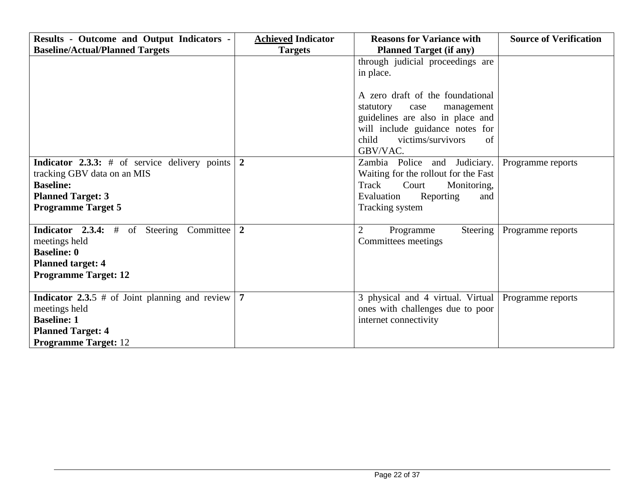| <b>Results - Outcome and Output Indicators -</b>                                                                                                                   | <b>Achieved Indicator</b> | <b>Reasons for Variance with</b>                                                                                                                                                           | <b>Source of Verification</b> |
|--------------------------------------------------------------------------------------------------------------------------------------------------------------------|---------------------------|--------------------------------------------------------------------------------------------------------------------------------------------------------------------------------------------|-------------------------------|
| <b>Baseline/Actual/Planned Targets</b>                                                                                                                             | <b>Targets</b>            | <b>Planned Target (if any)</b>                                                                                                                                                             |                               |
|                                                                                                                                                                    |                           | through judicial proceedings are<br>in place.                                                                                                                                              |                               |
|                                                                                                                                                                    |                           | A zero draft of the foundational<br>management<br>statutory<br>case<br>guidelines are also in place and<br>will include guidance notes for<br>child<br>victims/survivors<br>of<br>GBV/VAC. |                               |
| <b>Indicator 2.3.3:</b> $#$ of service delivery points<br>tracking GBV data on an MIS<br><b>Baseline:</b><br><b>Planned Target: 3</b><br><b>Programme Target 5</b> | $\overline{2}$            | Zambia Police and Judiciary.<br>Waiting for the rollout for the Fast<br>Track<br>Court<br>Monitoring,<br>Evaluation<br>Reporting<br>and<br>Tracking system                                 | Programme reports             |
| <b>Indicator 2.3.4:</b> # of Steering Committee<br>meetings held<br><b>Baseline: 0</b><br><b>Planned target: 4</b><br><b>Programme Target: 12</b>                  | $\overline{2}$            | $\overline{2}$<br>Steering<br>Programme<br>Committees meetings                                                                                                                             | Programme reports             |
| <b>Indicator 2.3.5</b> # of Joint planning and review<br>meetings held<br><b>Baseline: 1</b><br><b>Planned Target: 4</b><br><b>Programme Target: 12</b>            | $\overline{7}$            | 3 physical and 4 virtual. Virtual Programme reports<br>ones with challenges due to poor<br>internet connectivity                                                                           |                               |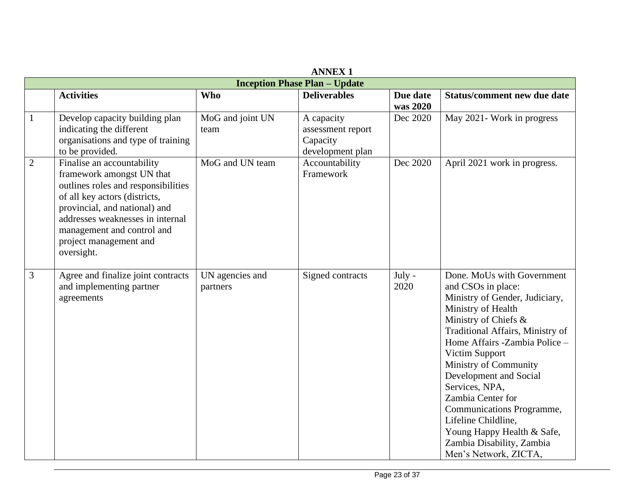| <b>ANNEX 1</b>                       |                                                                                                                                                                                                                                                                            |                             |                                                                 |                      |                                                                                                                                                                                                                                                                                                                                                                                                                                                           |
|--------------------------------------|----------------------------------------------------------------------------------------------------------------------------------------------------------------------------------------------------------------------------------------------------------------------------|-----------------------------|-----------------------------------------------------------------|----------------------|-----------------------------------------------------------------------------------------------------------------------------------------------------------------------------------------------------------------------------------------------------------------------------------------------------------------------------------------------------------------------------------------------------------------------------------------------------------|
| <b>Inception Phase Plan - Update</b> |                                                                                                                                                                                                                                                                            |                             |                                                                 |                      |                                                                                                                                                                                                                                                                                                                                                                                                                                                           |
|                                      | <b>Activities</b>                                                                                                                                                                                                                                                          | <b>Who</b>                  | <b>Deliverables</b>                                             | Due date<br>was 2020 | <b>Status/comment new due date</b>                                                                                                                                                                                                                                                                                                                                                                                                                        |
| $\mathbf{1}$                         | Develop capacity building plan<br>indicating the different<br>organisations and type of training<br>to be provided.                                                                                                                                                        | MoG and joint UN<br>team    | A capacity<br>assessment report<br>Capacity<br>development plan | Dec 2020             | May 2021- Work in progress                                                                                                                                                                                                                                                                                                                                                                                                                                |
| $\overline{2}$                       | Finalise an accountability<br>framework amongst UN that<br>outlines roles and responsibilities<br>of all key actors (districts,<br>provincial, and national) and<br>addresses weaknesses in internal<br>management and control and<br>project management and<br>oversight. | MoG and UN team             | Accountability<br>Framework                                     | Dec 2020             | April 2021 work in progress.                                                                                                                                                                                                                                                                                                                                                                                                                              |
| 3                                    | Agree and finalize joint contracts<br>and implementing partner<br>agreements                                                                                                                                                                                               | UN agencies and<br>partners | Signed contracts                                                | July -<br>2020       | Done. MoUs with Government<br>and CSOs in place:<br>Ministry of Gender, Judiciary,<br>Ministry of Health<br>Ministry of Chiefs &<br>Traditional Affairs, Ministry of<br>Home Affairs -Zambia Police -<br>Victim Support<br>Ministry of Community<br>Development and Social<br>Services, NPA,<br>Zambia Center for<br>Communications Programme,<br>Lifeline Childline,<br>Young Happy Health & Safe,<br>Zambia Disability, Zambia<br>Men's Network, ZICTA, |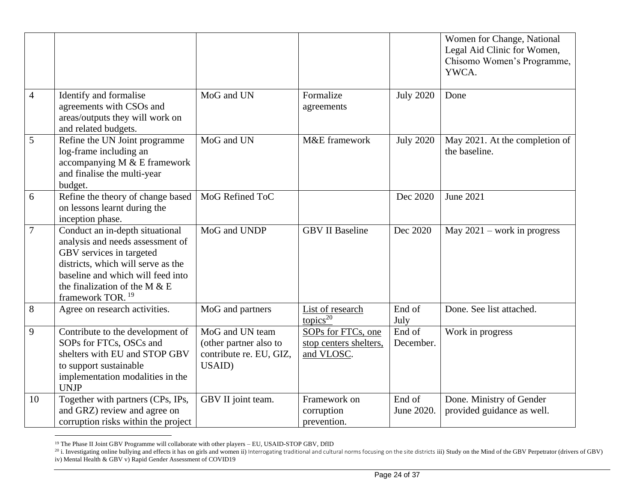|                |                                                                                                                                                                                                                                              |                                                                                |                                                            |                      | Women for Change, National<br>Legal Aid Clinic for Women,<br>Chisomo Women's Programme,<br>YWCA. |
|----------------|----------------------------------------------------------------------------------------------------------------------------------------------------------------------------------------------------------------------------------------------|--------------------------------------------------------------------------------|------------------------------------------------------------|----------------------|--------------------------------------------------------------------------------------------------|
| $\overline{4}$ | Identify and formalise<br>agreements with CSOs and<br>areas/outputs they will work on<br>and related budgets.                                                                                                                                | MoG and UN                                                                     | Formalize<br>agreements                                    | <b>July 2020</b>     | Done                                                                                             |
| 5              | Refine the UN Joint programme<br>log-frame including an<br>accompanying M & E framework<br>and finalise the multi-year<br>budget.                                                                                                            | MoG and UN                                                                     | M&E framework                                              | <b>July 2020</b>     | May 2021. At the completion of<br>the baseline.                                                  |
| 6              | Refine the theory of change based<br>on lessons learnt during the<br>inception phase.                                                                                                                                                        | MoG Refined ToC                                                                |                                                            | Dec 2020             | June 2021                                                                                        |
| $\overline{7}$ | Conduct an in-depth situational<br>analysis and needs assessment of<br>GBV services in targeted<br>districts, which will serve as the<br>baseline and which will feed into<br>the finalization of the M $&E$<br>framework TOR. <sup>19</sup> | MoG and UNDP                                                                   | <b>GBV II Baseline</b>                                     | Dec 2020             | May $2021$ – work in progress                                                                    |
| $8\,$          | Agree on research activities.                                                                                                                                                                                                                | MoG and partners                                                               | List of research<br>topics $^{20}$                         | End of<br>July       | Done. See list attached.                                                                         |
| 9              | Contribute to the development of<br>SOPs for FTCs, OSCs and<br>shelters with EU and STOP GBV<br>to support sustainable<br>implementation modalities in the<br><b>UNJP</b>                                                                    | MoG and UN team<br>(other partner also to<br>contribute re. EU, GIZ,<br>USAID) | SOPs for FTCs, one<br>stop centers shelters,<br>and VLOSC. | End of<br>December.  | Work in progress                                                                                 |
| 10             | Together with partners (CPs, IPs,<br>and GRZ) review and agree on<br>corruption risks within the project                                                                                                                                     | GBV II joint team.                                                             | Framework on<br>corruption<br>prevention.                  | End of<br>June 2020. | Done. Ministry of Gender<br>provided guidance as well.                                           |

<sup>&</sup>lt;sup>19</sup> The Phase II Joint GBV Programme will collaborate with other players - EU, USAID-STOP GBV, DfID

 $^{20}$  i. Investigating online bullying and effects it has on girls and women ii) Interrogating traditional and cultural norms focusing on the site districts iii) Study on the Mind of the GBV Perpetrator (drivers of GBV) iv) Mental Health & GBV v) Rapid Gender Assessment of COVID19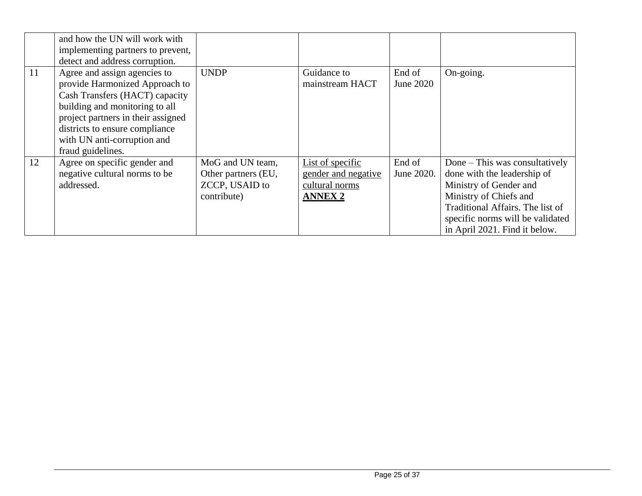|    | and how the UN will work with<br>implementing partners to prevent,<br>detect and address corruption.                                                                                                                                                           |                                                                                 |                                                                             |                      |                                                                                                                                                                                                                            |
|----|----------------------------------------------------------------------------------------------------------------------------------------------------------------------------------------------------------------------------------------------------------------|---------------------------------------------------------------------------------|-----------------------------------------------------------------------------|----------------------|----------------------------------------------------------------------------------------------------------------------------------------------------------------------------------------------------------------------------|
| 11 | Agree and assign agencies to<br>provide Harmonized Approach to<br>Cash Transfers (HACT) capacity<br>building and monitoring to all<br>project partners in their assigned<br>districts to ensure compliance<br>with UN anti-corruption and<br>fraud guidelines. | <b>UNDP</b>                                                                     | Guidance to<br>mainstream HACT                                              | End of<br>June 2020  | On-going.                                                                                                                                                                                                                  |
| 12 | Agree on specific gender and<br>negative cultural norms to be<br>addressed.                                                                                                                                                                                    | MoG and UN team,<br>Other partners (EU,<br><b>ZCCP, USAID to</b><br>contribute) | List of specific<br>gender and negative<br>cultural norms<br><b>ANNEX 2</b> | End of<br>June 2020. | Done – This was consultatively<br>done with the leadership of<br>Ministry of Gender and<br>Ministry of Chiefs and<br>Traditional Affairs. The list of<br>specific norms will be validated<br>in April 2021. Find it below. |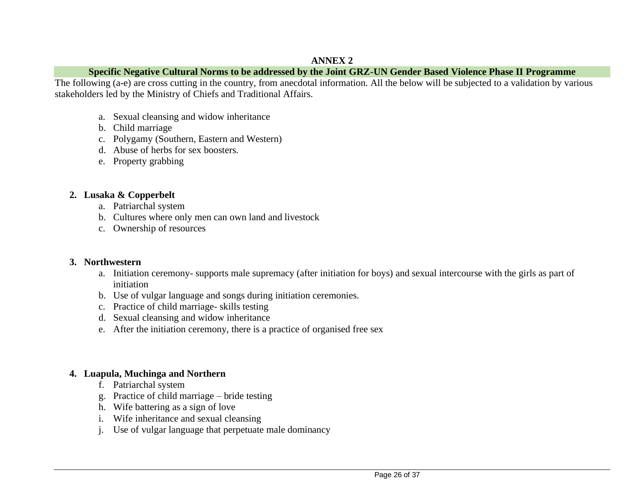### **ANNEX 2**

### **Specific Negative Cultural Norms to be addressed by the Joint GRZ-UN Gender Based Violence Phase II Programme**

The following (a-e) are cross cutting in the country, from anecdotal information. All the below will be subjected to a validation by various stakeholders led by the Ministry of Chiefs and Traditional Affairs.

- a. Sexual cleansing and widow inheritance
- b. Child marriage
- c. Polygamy (Southern, Eastern and Western)
- d. Abuse of herbs for sex boosters.
- e. Property grabbing

## **2. Lusaka & Copperbelt**

- a. Patriarchal system
- b. Cultures where only men can own land and livestock
- c. Ownership of resources

### **3. Northwestern**

- a. Initiation ceremony- supports male supremacy (after initiation for boys) and sexual intercourse with the girls as part of initiation
- b. Use of vulgar language and songs during initiation ceremonies.
- c. Practice of child marriage- skills testing
- d. Sexual cleansing and widow inheritance
- e. After the initiation ceremony, there is a practice of organised free sex

## **4. Luapula, Muchinga and Northern**

- f. Patriarchal system
- g. Practice of child marriage bride testing
- h. Wife battering as a sign of love
- i. Wife inheritance and sexual cleansing
- j. Use of vulgar language that perpetuate male dominancy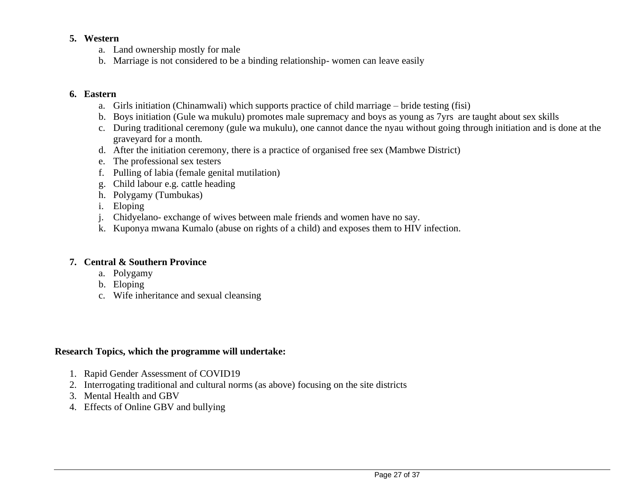### **5. Western**

- a. Land ownership mostly for male
- b. Marriage is not considered to be a binding relationship- women can leave easily

### **6. Eastern**

- a. Girls initiation (Chinamwali) which supports practice of child marriage bride testing (fisi)
- b. Boys initiation (Gule wa mukulu) promotes male supremacy and boys as young as 7yrs are taught about sex skills
- c. During traditional ceremony (gule wa mukulu), one cannot dance the nyau without going through initiation and is done at the graveyard for a month.
- d. After the initiation ceremony, there is a practice of organised free sex (Mambwe District)
- e. The professional sex testers
- f. Pulling of labia (female genital mutilation)
- g. Child labour e.g. cattle heading
- h. Polygamy (Tumbukas)
- i. Eloping
- j. Chidyelano- exchange of wives between male friends and women have no say.
- k. Kuponya mwana Kumalo (abuse on rights of a child) and exposes them to HIV infection.

#### **7. Central & Southern Province**

- a. Polygamy
- b. Eloping
- c. Wife inheritance and sexual cleansing

#### **Research Topics, which the programme will undertake:**

- 1. Rapid Gender Assessment of COVID19
- 2. Interrogating traditional and cultural norms (as above) focusing on the site districts
- 3. Mental Health and GBV
- 4. Effects of Online GBV and bullying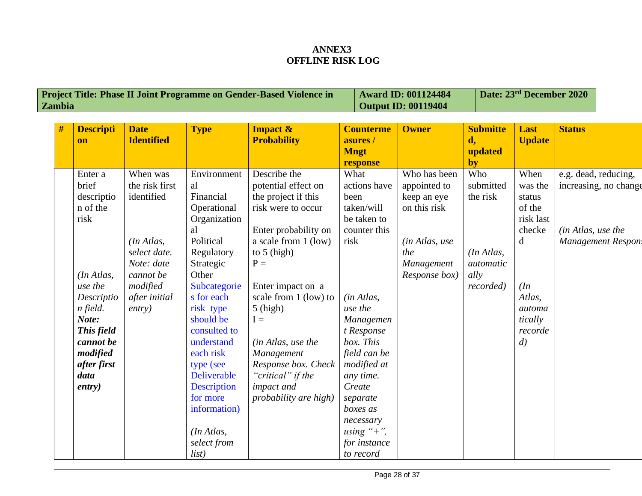## **ANNEX3 OFFLINE RISK LOG**

| <b>Project Title: Phase II Joint Programme on Gender-Based Violence in</b> | $\vert$ Award ID: 001124484 | Date: $23rd$ December 2020 |
|----------------------------------------------------------------------------|-----------------------------|----------------------------|
| <b>Zambia</b>                                                              | $\vert$ Output ID: 00119404 |                            |

| # | <b>Descripti</b>   | <b>Date</b>       | <b>Type</b>                 | <b>Impact &amp;</b>   | <b>Counterme</b>          | <b>Owner</b>   | <b>Submitte</b>  | Last                | <b>Status</b>         |
|---|--------------------|-------------------|-----------------------------|-----------------------|---------------------------|----------------|------------------|---------------------|-----------------------|
|   | <b>on</b>          | <b>Identified</b> |                             | <b>Probability</b>    | asures /                  |                | d,<br>updated    | <b>Update</b>       |                       |
|   |                    |                   |                             |                       | <b>Mngt</b><br>response   |                | by               |                     |                       |
|   | Enter a            | When was          | Environment                 | Describe the          | What                      | Who has been   | Who              | When                | e.g. dead, reducing,  |
|   | brief              | the risk first    | al                          | potential effect on   | actions have              | appointed to   | submitted        | was the             | increasing, no change |
|   | descriptio         | identified        | Financial                   | the project if this   | been                      | keep an eye    | the risk         | status              |                       |
|   | n of the<br>risk   |                   | Operational<br>Organization | risk were to occur    | taken/will<br>be taken to | on this risk   |                  | of the<br>risk last |                       |
|   |                    |                   | al                          | Enter probability on  | counter this              |                |                  | checke              | (in Atlas, use the    |
|   |                    | (In Atlas,        | Political                   | a scale from 1 (low)  | risk                      | (in Atlas, use |                  | d                   | Management Respon.    |
|   |                    | select date.      | Regulatory                  | to $5$ (high)         |                           | the            | (In Atlas,       |                     |                       |
|   |                    | Note: date        | Strategic                   | $P =$                 |                           | Management     | <i>automatic</i> |                     |                       |
|   | (In Atlas,         | cannot be         | Other                       |                       |                           | Response box)  | ally             |                     |                       |
|   | use the            | modified          | Subcategorie                | Enter impact on a     |                           |                | recorded)        | (In                 |                       |
|   | Descriptio         | after initial     | s for each                  | scale from 1 (low) to | (in Atlas,                |                |                  | Atlas,              |                       |
|   | n field.           | entry)            | risk type                   | $5$ (high)            | use the                   |                |                  | automa              |                       |
|   | Note:              |                   | should be                   | $I =$                 | Managemen                 |                |                  | tically             |                       |
|   | This field         |                   | consulted to                |                       | t Response                |                |                  | recorde             |                       |
|   | cannot be          |                   | understand                  | (in Atlas, use the    | box. This                 |                |                  | $\left( d\right)$   |                       |
|   | modified           |                   | each risk                   | Management            | field can be              |                |                  |                     |                       |
|   | after first        |                   | type (see                   | Response box. Check   | modified at               |                |                  |                     |                       |
|   | data               |                   | <b>Deliverable</b>          | "critical" if the     | any time.                 |                |                  |                     |                       |
|   | $\textit{entry}$ ) |                   | <b>Description</b>          | impact and            | Create                    |                |                  |                     |                       |
|   |                    |                   | for more                    | probability are high) | separate                  |                |                  |                     |                       |
|   |                    |                   | information)                |                       | boxes as                  |                |                  |                     |                       |
|   |                    |                   |                             |                       | necessary                 |                |                  |                     |                       |
|   |                    |                   | (In Atlas,                  |                       | using " $+$ ",            |                |                  |                     |                       |
|   |                    |                   | select from                 |                       | for instance              |                |                  |                     |                       |
|   |                    |                   | list)                       |                       | to record                 |                |                  |                     |                       |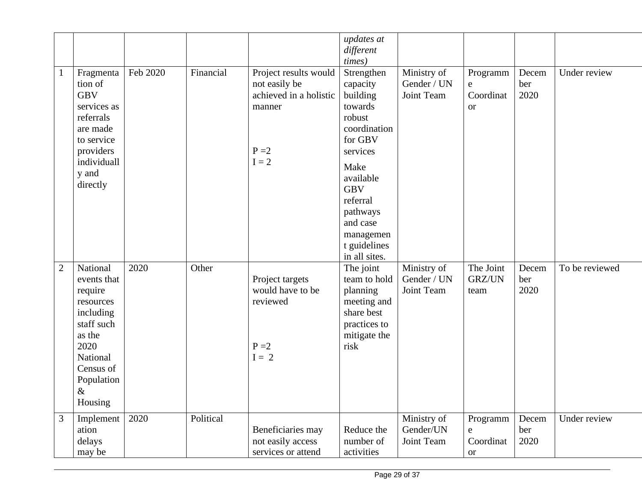|                |                                                                                                                                                        |          |           |                                                                                                  | updates at<br>different<br><i>times</i> )                                                                                                                                                                           |                                          |                                         |                      |                |
|----------------|--------------------------------------------------------------------------------------------------------------------------------------------------------|----------|-----------|--------------------------------------------------------------------------------------------------|---------------------------------------------------------------------------------------------------------------------------------------------------------------------------------------------------------------------|------------------------------------------|-----------------------------------------|----------------------|----------------|
| $\mathbf{1}$   | Fragmenta<br>tion of<br><b>GBV</b><br>services as<br>referrals<br>are made<br>to service<br>providers<br>individuall<br>y and<br>directly              | Feb 2020 | Financial | Project results would<br>not easily be<br>achieved in a holistic<br>manner<br>$P = 2$<br>$I = 2$ | Strengthen<br>capacity<br>building<br>towards<br>robust<br>coordination<br>for GBV<br>services<br>Make<br>available<br><b>GBV</b><br>referral<br>pathways<br>and case<br>managemen<br>t guidelines<br>in all sites. | Ministry of<br>Gender / UN<br>Joint Team | Programm<br>e<br>Coordinat<br><b>or</b> | Decem<br>ber<br>2020 | Under review   |
| $\overline{2}$ | National<br>events that<br>require<br>resources<br>including<br>staff such<br>as the<br>2020<br>National<br>Census of<br>Population<br>$\&$<br>Housing | 2020     | Other     | Project targets<br>would have to be<br>reviewed<br>$P = 2$<br>$I = 2$                            | The joint<br>team to hold<br>planning<br>meeting and<br>share best<br>practices to<br>mitigate the<br>risk                                                                                                          | Ministry of<br>Gender / UN<br>Joint Team | The Joint<br>GRZ/UN<br>team             | Decem<br>ber<br>2020 | To be reviewed |
| $\mathfrak{Z}$ | Implement<br>ation<br>delays<br>may be                                                                                                                 | 2020     | Political | Beneficiaries may<br>not easily access<br>services or attend                                     | Reduce the<br>number of<br>activities                                                                                                                                                                               | Ministry of<br>Gender/UN<br>Joint Team   | Programm<br>e<br>Coordinat<br><b>or</b> | Decem<br>ber<br>2020 | Under review   |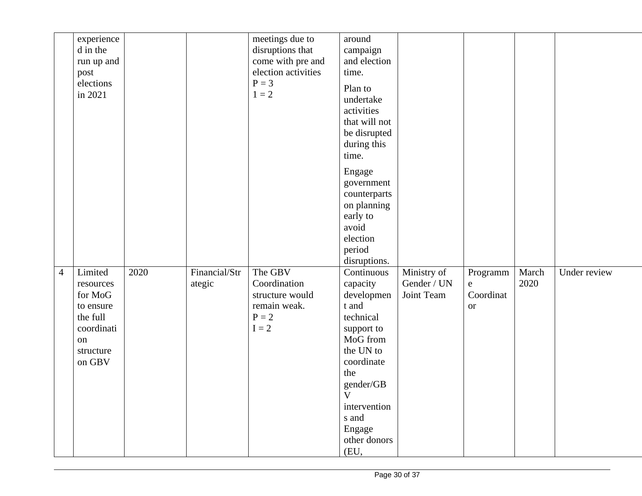|                | experience<br>d in the<br>run up and<br>post<br>elections<br>in 2021                                |      |                         | meetings due to<br>disruptions that<br>come with pre and<br>election activities<br>$P = 3$<br>$1 = 2$ | around<br>campaign<br>and election<br>time.<br>Plan to<br>undertake<br>activities<br>that will not<br>be disrupted<br>during this<br>time.<br>Engage<br>government<br>counterparts<br>on planning<br>early to<br>avoid<br>election<br>period<br>disruptions. |                                          |                                                   |               |              |
|----------------|-----------------------------------------------------------------------------------------------------|------|-------------------------|-------------------------------------------------------------------------------------------------------|--------------------------------------------------------------------------------------------------------------------------------------------------------------------------------------------------------------------------------------------------------------|------------------------------------------|---------------------------------------------------|---------------|--------------|
| $\overline{4}$ | Limited<br>resources<br>for MoG<br>to ensure<br>the full<br>coordinati<br>on<br>structure<br>on GBV | 2020 | Financial/Str<br>ategic | The GBV<br>Coordination<br>structure would<br>remain weak.<br>$P = 2$<br>$I = 2$                      | Continuous<br>capacity<br>developmen<br>t and<br>technical<br>support to<br>MoG from<br>the UN to<br>coordinate<br>the<br>gender/GB<br>$V_{\parallel}$<br>intervention<br>s and<br>Engage<br>other donors<br>(EU,                                            | Ministry of<br>Gender / UN<br>Joint Team | Programm<br>$\mathbf e$<br>Coordinat<br><b>or</b> | March<br>2020 | Under review |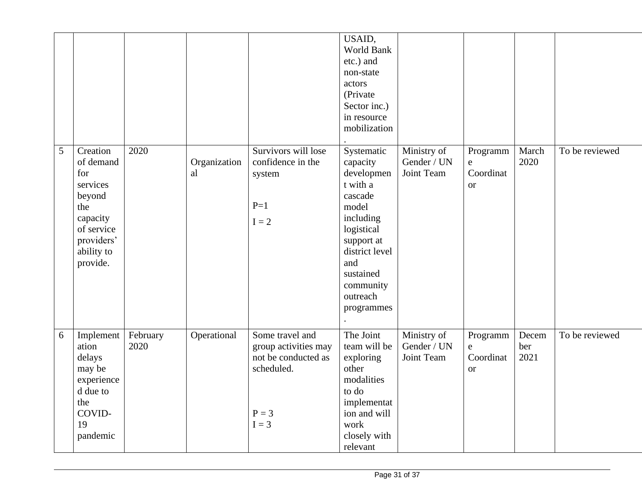|   |                                                                                                                             |                  |                    |                                                                                                    | USAID,<br>World Bank<br>etc.) and<br>non-state<br>actors<br>(Private<br>Sector inc.)<br>in resource<br>mobilization                                                                        |                                          |                                                 |                      |                |
|---|-----------------------------------------------------------------------------------------------------------------------------|------------------|--------------------|----------------------------------------------------------------------------------------------------|--------------------------------------------------------------------------------------------------------------------------------------------------------------------------------------------|------------------------------------------|-------------------------------------------------|----------------------|----------------|
| 5 | Creation<br>of demand<br>for<br>services<br>beyond<br>the<br>capacity<br>of service<br>providers'<br>ability to<br>provide. | 2020             | Organization<br>al | Survivors will lose<br>confidence in the<br>system<br>$P=1$<br>$I = 2$                             | Systematic<br>capacity<br>developmen<br>t with a<br>cascade<br>model<br>including<br>logistical<br>support at<br>district level<br>and<br>sustained<br>community<br>outreach<br>programmes | Ministry of<br>Gender / UN<br>Joint Team | Programm<br>${\bf e}$<br>Coordinat<br><b>or</b> | March<br>2020        | To be reviewed |
| 6 | Implement<br>ation<br>delays<br>may be<br>experience<br>d due to<br>the<br>COVID-<br>19<br>pandemic                         | February<br>2020 | Operational        | Some travel and<br>group activities may<br>not be conducted as<br>scheduled.<br>$P = 3$<br>$I = 3$ | The Joint<br>team will be<br>exploring<br>other<br>modalities<br>to do<br>implementat<br>ion and will<br>work<br>closely with<br>relevant                                                  | Ministry of<br>Gender / UN<br>Joint Team | Programm<br>${\bf e}$<br>Coordinat<br><b>or</b> | Decem<br>ber<br>2021 | To be reviewed |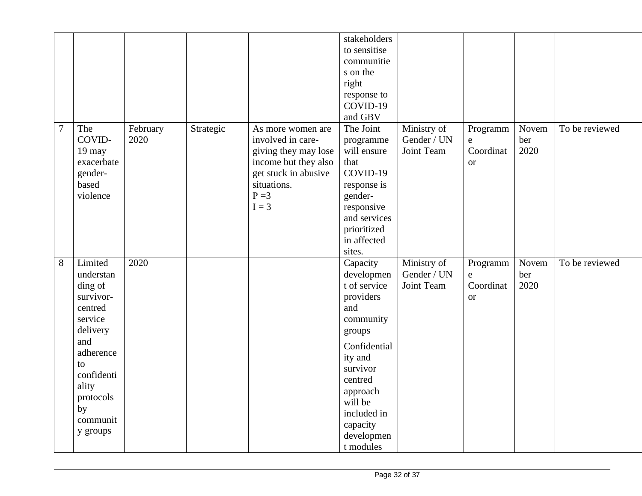|                |                                                                                                                                                                            |                  |           |                                                                                                                                                     | stakeholders<br>to sensitise<br>communitie<br>s on the<br>right<br>response to<br>COVID-19<br>and GBV                                                                                                            |                                          |                                                 |                      |                |
|----------------|----------------------------------------------------------------------------------------------------------------------------------------------------------------------------|------------------|-----------|-----------------------------------------------------------------------------------------------------------------------------------------------------|------------------------------------------------------------------------------------------------------------------------------------------------------------------------------------------------------------------|------------------------------------------|-------------------------------------------------|----------------------|----------------|
| $\overline{7}$ | The<br>COVID-<br>19 may<br>exacerbate<br>gender-<br>based<br>violence                                                                                                      | February<br>2020 | Strategic | As more women are<br>involved in care-<br>giving they may lose<br>income but they also<br>get stuck in abusive<br>situations.<br>$P = 3$<br>$I = 3$ | The Joint<br>programme<br>will ensure<br>that<br>COVID-19<br>response is<br>gender-<br>responsive<br>and services<br>prioritized<br>in affected<br>sites.                                                        | Ministry of<br>Gender / UN<br>Joint Team | Programm<br>${\rm e}$<br>Coordinat<br><b>or</b> | Novem<br>ber<br>2020 | To be reviewed |
| 8              | Limited<br>understan<br>ding of<br>survivor-<br>centred<br>service<br>delivery<br>and<br>adherence<br>to<br>confidenti<br>ality<br>protocols<br>by<br>communit<br>y groups | 2020             |           |                                                                                                                                                     | Capacity<br>developmen<br>t of service<br>providers<br>and<br>community<br>groups<br>Confidential<br>ity and<br>survivor<br>centred<br>approach<br>will be<br>included in<br>capacity<br>developmen<br>t modules | Ministry of<br>Gender / UN<br>Joint Team | Programm<br>${\bf e}$<br>Coordinat<br><b>or</b> | Novem<br>ber<br>2020 | To be reviewed |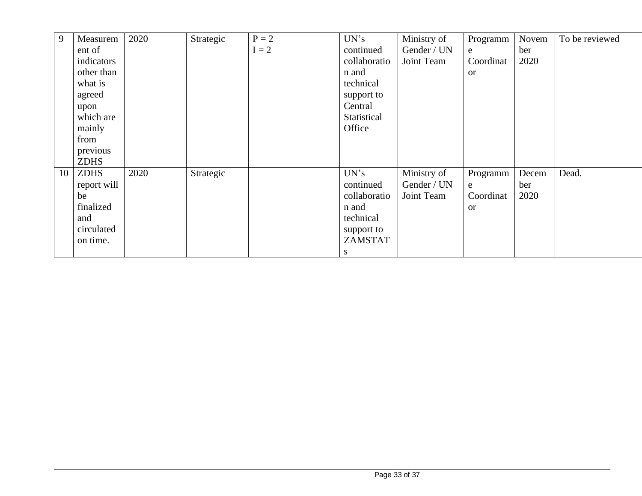| 9  | Measurem    | 2020 | Strategic | $P = 2$ | UN's         | Ministry of | Programm      | Novem | To be reviewed |
|----|-------------|------|-----------|---------|--------------|-------------|---------------|-------|----------------|
|    | ent of      |      |           | $I = 2$ | continued    | Gender / UN | e             | ber   |                |
|    | indicators  |      |           |         | collaboratio | Joint Team  | Coordinat     | 2020  |                |
|    | other than  |      |           |         | n and        |             | <sub>or</sub> |       |                |
|    | what is     |      |           |         | technical    |             |               |       |                |
|    | agreed      |      |           |         | support to   |             |               |       |                |
|    | upon        |      |           |         | Central      |             |               |       |                |
|    | which are   |      |           |         | Statistical  |             |               |       |                |
|    | mainly      |      |           |         | Office       |             |               |       |                |
|    | from        |      |           |         |              |             |               |       |                |
|    | previous    |      |           |         |              |             |               |       |                |
|    | <b>ZDHS</b> |      |           |         |              |             |               |       |                |
| 10 | <b>ZDHS</b> | 2020 | Strategic |         | UN's         | Ministry of | Programm      | Decem | Dead.          |
|    | report will |      |           |         | continued    | Gender / UN | e             | ber   |                |
|    | be          |      |           |         | collaboratio | Joint Team  | Coordinat     | 2020  |                |
|    | finalized   |      |           |         | n and        |             | <b>or</b>     |       |                |
|    | and         |      |           |         | technical    |             |               |       |                |
|    | circulated  |      |           |         | support to   |             |               |       |                |
|    | on time.    |      |           |         | ZAMSTAT      |             |               |       |                |
|    |             |      |           |         | S.           |             |               |       |                |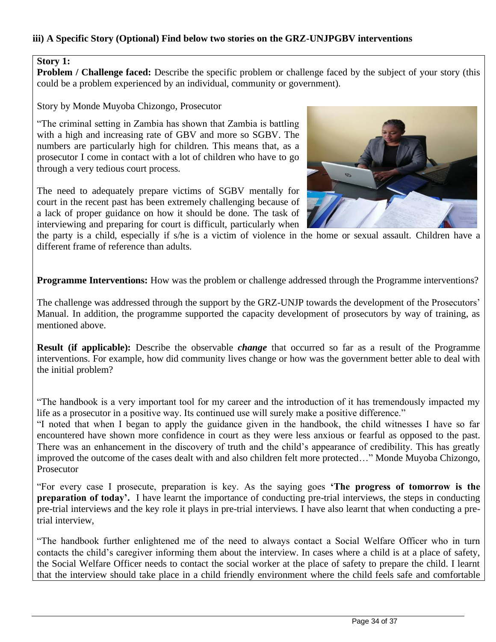### **iii) A Specific Story (Optional) Find below two stories on the GRZ-UNJPGBV interventions**

#### **Story 1:**

**Problem / Challenge faced:** Describe the specific problem or challenge faced by the subject of your story (this could be a problem experienced by an individual, community or government).

Story by Monde Muyoba Chizongo, Prosecutor

"The criminal setting in Zambia has shown that Zambia is battling with a high and increasing rate of GBV and more so SGBV. The numbers are particularly high for children. This means that, as a prosecutor I come in contact with a lot of children who have to go through a very tedious court process.

The need to adequately prepare victims of SGBV mentally for court in the recent past has been extremely challenging because of a lack of proper guidance on how it should be done. The task of interviewing and preparing for court is difficult, particularly when



the party is a child, especially if s/he is a victim of violence in the home or sexual assault. Children have a different frame of reference than adults.

**Programme Interventions:** How was the problem or challenge addressed through the Programme interventions?

The challenge was addressed through the support by the GRZ-UNJP towards the development of the Prosecutors' Manual. In addition, the programme supported the capacity development of prosecutors by way of training, as mentioned above.

**Result (if applicable):** Describe the observable *change* that occurred so far as a result of the Programme interventions. For example, how did community lives change or how was the government better able to deal with the initial problem?

"The handbook is a very important tool for my career and the introduction of it has tremendously impacted my life as a prosecutor in a positive way. Its continued use will surely make a positive difference."

"I noted that when I began to apply the guidance given in the handbook, the child witnesses I have so far encountered have shown more confidence in court as they were less anxious or fearful as opposed to the past. There was an enhancement in the discovery of truth and the child's appearance of credibility. This has greatly improved the outcome of the cases dealt with and also children felt more protected…" Monde Muyoba Chizongo, Prosecutor

"For every case I prosecute, preparation is key. As the saying goes **'The progress of tomorrow is the preparation of today'.** I have learnt the importance of conducting pre-trial interviews, the steps in conducting pre-trial interviews and the key role it plays in pre-trial interviews. I have also learnt that when conducting a pretrial interview,

"The handbook further enlightened me of the need to always contact a Social Welfare Officer who in turn contacts the child's caregiver informing them about the interview. In cases where a child is at a place of safety, the Social Welfare Officer needs to contact the social worker at the place of safety to prepare the child. I learnt that the interview should take place in a child friendly environment where the child feels safe and comfortable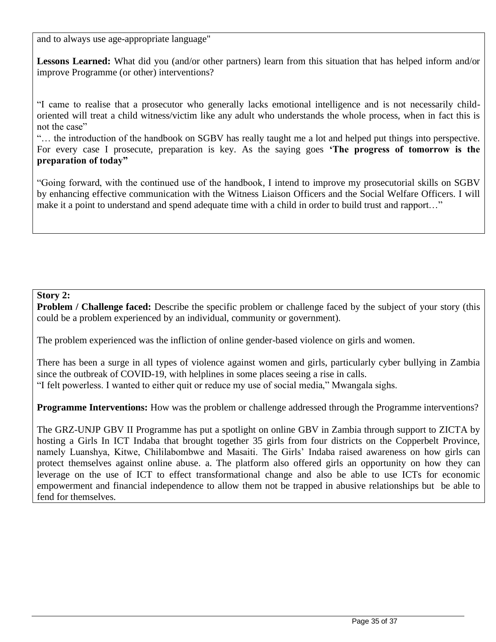and to always use age-appropriate language"

**Lessons Learned:** What did you (and/or other partners) learn from this situation that has helped inform and/or improve Programme (or other) interventions?

"I came to realise that a prosecutor who generally lacks emotional intelligence and is not necessarily childoriented will treat a child witness/victim like any adult who understands the whole process, when in fact this is not the case"

"… the introduction of the handbook on SGBV has really taught me a lot and helped put things into perspective. For every case I prosecute, preparation is key. As the saying goes **'The progress of tomorrow is the preparation of today"**

"Going forward, with the continued use of the handbook, I intend to improve my prosecutorial skills on SGBV by enhancing effective communication with the Witness Liaison Officers and the Social Welfare Officers. I will make it a point to understand and spend adequate time with a child in order to build trust and rapport…"

### **Story 2:**

**Problem / Challenge faced:** Describe the specific problem or challenge faced by the subject of your story (this could be a problem experienced by an individual, community or government).

The problem experienced was the infliction of online gender-based violence on girls and women.

There has been a surge in all types of violence against women and girls, particularly cyber bullying in Zambia since the outbreak of COVID-19, with helplines in some places seeing a rise in calls. "I felt powerless. I wanted to either quit or reduce my use of social media," Mwangala sighs.

**Programme Interventions:** How was the problem or challenge addressed through the Programme interventions?

The GRZ-UNJP GBV II Programme has put a spotlight on online GBV in Zambia through support to ZICTA by hosting a Girls In ICT Indaba that brought together 35 girls from four districts on the Copperbelt Province, namely Luanshya, Kitwe, Chililabombwe and Masaiti. The Girls' Indaba raised awareness on how girls can protect themselves against online abuse. a. The platform also offered girls an opportunity on how they can leverage on the use of ICT to effect transformational change and also be able to use ICTs for economic empowerment and financial independence to allow them not be trapped in abusive relationships but be able to fend for themselves.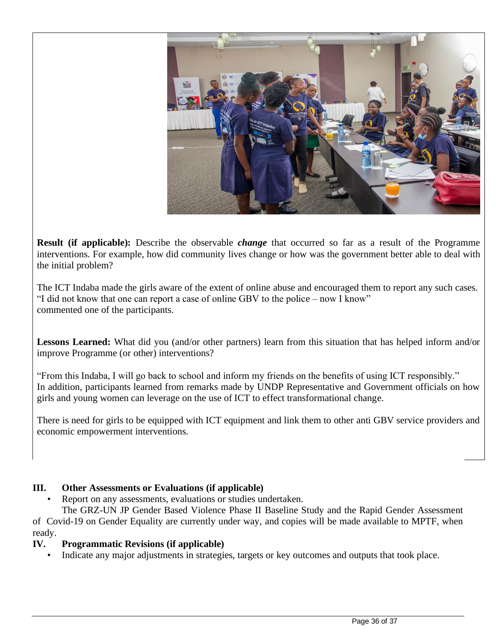

**Result (if applicable):** Describe the observable *change* that occurred so far as a result of the Programme interventions. For example, how did community lives change or how was the government better able to deal with the initial problem?

The ICT Indaba made the girls aware of the extent of online abuse and encouraged them to report any such cases. "I did not know that one can report a case of online GBV to the police – now I know" commented one of the participants.

**Lessons Learned:** What did you (and/or other partners) learn from this situation that has helped inform and/or improve Programme (or other) interventions?

"From this Indaba, I will go back to school and inform my friends on the benefits of using ICT responsibly." In addition, participants learned from remarks made by UNDP Representative and Government officials on how girls and young women can leverage on the use of ICT to effect transformational change.

There is need for girls to be equipped with ICT equipment and link them to other anti GBV service providers and economic empowerment interventions.

## **III. Other Assessments or Evaluations (if applicable)**

Report on any assessments, evaluations or studies undertaken.

The GRZ-UN JP Gender Based Violence Phase II Baseline Study and the Rapid Gender Assessment of Covid-19 on Gender Equality are currently under way, and copies will be made available to MPTF, when ready.

## **IV. Programmatic Revisions (if applicable)**

Indicate any major adjustments in strategies, targets or key outcomes and outputs that took place.